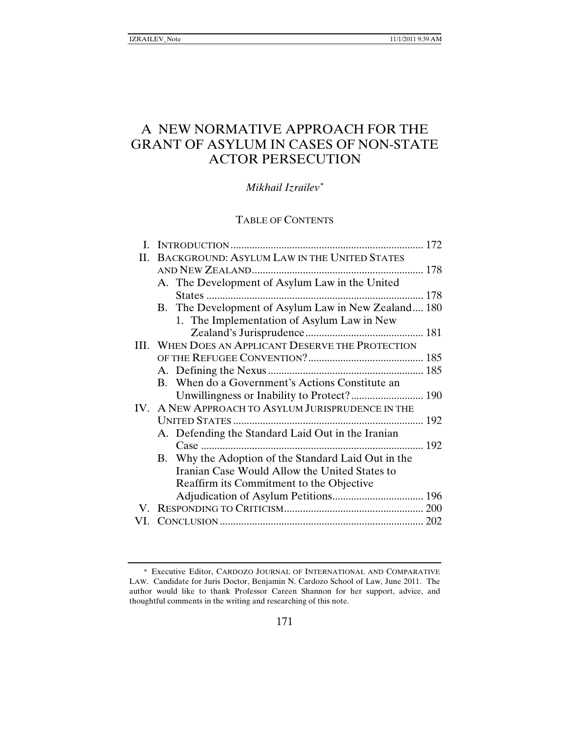# A NEW NORMATIVE APPROACH FOR THE GRANT OF ASYLUM IN CASES OF NON-STATE ACTOR PERSECUTION

*Mikhail Izrailev*[∗](#page-0-0)

# TABLE OF CONTENTS

|    |                                                    |                                                     | 172 |
|----|----------------------------------------------------|-----------------------------------------------------|-----|
| H. | BACKGROUND: ASYLUM LAW IN THE UNITED STATES        |                                                     |     |
|    |                                                    |                                                     |     |
|    |                                                    | A. The Development of Asylum Law in the United      |     |
|    |                                                    |                                                     | 178 |
|    |                                                    | B. The Development of Asylum Law in New Zealand 180 |     |
|    |                                                    | 1. The Implementation of Asylum Law in New          |     |
|    |                                                    |                                                     |     |
|    | III. WHEN DOES AN APPLICANT DESERVE THE PROTECTION |                                                     |     |
|    |                                                    |                                                     |     |
|    |                                                    |                                                     |     |
|    |                                                    | B. When do a Government's Actions Constitute an     |     |
|    |                                                    |                                                     |     |
|    |                                                    | IV. A NEW APPROACH TO ASYLUM JURISPRUDENCE IN THE   |     |
|    |                                                    |                                                     |     |
|    |                                                    | A. Defending the Standard Laid Out in the Iranian   |     |
|    |                                                    | $Case$                                              |     |
|    |                                                    | B. Why the Adoption of the Standard Laid Out in the |     |
|    |                                                    | Iranian Case Would Allow the United States to       |     |
|    |                                                    | Reaffirm its Commitment to the Objective            |     |
|    |                                                    |                                                     |     |
| V. |                                                    |                                                     |     |
|    |                                                    |                                                     |     |
|    |                                                    |                                                     |     |

<span id="page-0-0"></span><sup>∗</sup> Executive Editor, CARDOZO JOURNAL OF INTERNATIONAL AND COMPARATIVE LAW. Candidate for Juris Doctor, Benjamin N. Cardozo School of Law, June 2011. The author would like to thank Professor Careen Shannon for her support, advice, and thoughtful comments in the writing and researching of this note.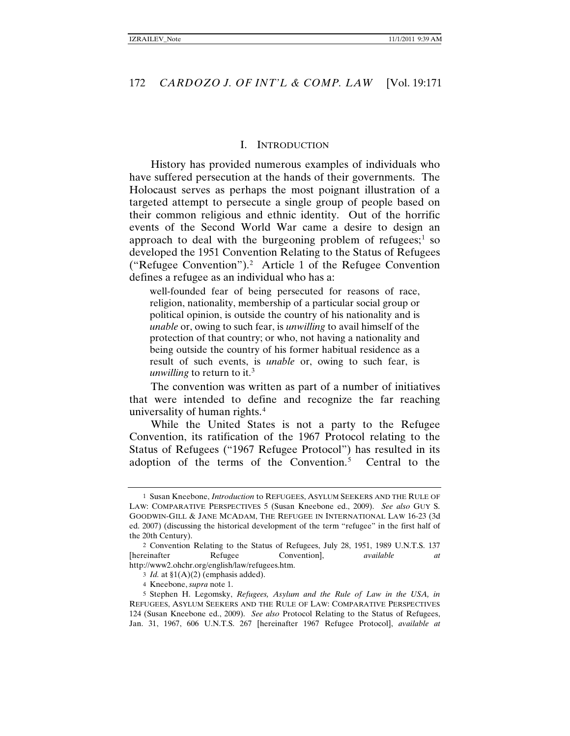#### <span id="page-1-0"></span>I. INTRODUCTION

History has provided numerous examples of individuals who have suffered persecution at the hands of their governments. The Holocaust serves as perhaps the most poignant illustration of a targeted attempt to persecute a single group of people based on their common religious and ethnic identity. Out of the horrific events of the Second World War came a desire to design an approach to deal with the burgeoning problem of refugees; $\frac{1}{1}$  $\frac{1}{1}$  $\frac{1}{1}$  so developed the 1951 Convention Relating to the Status of Refugees ("Refugee Convention").[2](#page-1-2) Article 1 of the Refugee Convention defines a refugee as an individual who has a:

<span id="page-1-6"></span>well-founded fear of being persecuted for reasons of race, religion, nationality, membership of a particular social group or political opinion, is outside the country of his nationality and is *unable* or, owing to such fear, is *unwilling* to avail himself of the protection of that country; or who, not having a nationality and being outside the country of his former habitual residence as a result of such events, is *unable* or, owing to such fear, is *unwilling* to return to it. [3](#page-1-3)

<span id="page-1-8"></span>The convention was written as part of a number of initiatives that were intended to define and recognize the far reaching universality of human rights.[4](#page-1-4)

<span id="page-1-7"></span>While the United States is not a party to the Refugee Convention, its ratification of the 1967 Protocol relating to the Status of Refugees ("1967 Refugee Protocol") has resulted in its adoption of the terms of the Convention.<sup>[5](#page-1-5)</sup> Central to the

<span id="page-1-1"></span><sup>1</sup> Susan Kneebone, *Introduction* to REFUGEES, ASYLUM SEEKERS AND THE RULE OF LAW: COMPARATIVE PERSPECTIVES 5 (Susan Kneebone ed., 2009). *See also* GUY S. GOODWIN-GILL & JANE MCADAM, THE REFUGEE IN INTERNATIONAL LAW 16-23 (3d ed. 2007) (discussing the historical development of the term "refugee" in the first half of the 20th Century).

<span id="page-1-2"></span><sup>2</sup> Convention Relating to the Status of Refugees, July 28, 1951, 1989 U.N.T.S. 137 [hereinafter Refugee Convention], *available at*  http://www2.ohchr.org/english/law/refugees.htm.

<sup>3</sup> *Id.* at §1(A)(2) (emphasis added).

<sup>4</sup> Kneebone, *supra* not[e 1.](#page-1-0)

<span id="page-1-5"></span><span id="page-1-4"></span><span id="page-1-3"></span><sup>5</sup> Stephen H. Legomsky, *Refugees, Asylum and the Rule of Law in the USA, in*  REFUGEES, ASYLUM SEEKERS AND THE RULE OF LAW: COMPARATIVE PERSPECTIVES 124 (Susan Kneebone ed., 2009). *See also* Protocol Relating to the Status of Refugees, Jan. 31, 1967, 606 U.N.T.S. 267 [hereinafter 1967 Refugee Protocol], *available at*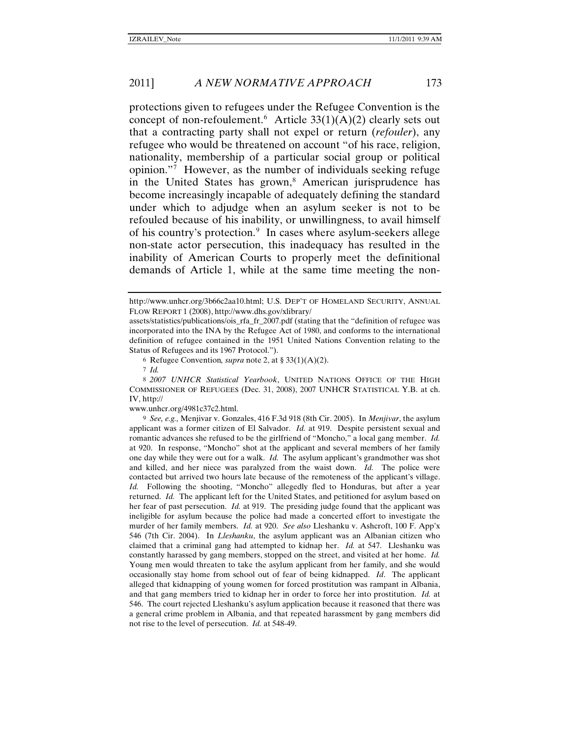protections given to refugees under the Refugee Convention is the concept of non-refoulement.<sup>[6](#page-2-0)</sup> Article  $33(1)(A)(2)$  clearly sets out that a contracting party shall not expel or return (*refouler*), any refugee who would be threatened on account "of his race, religion, nationality, membership of a particular social group or political opinion."[7](#page-2-1) However, as the number of individuals seeking refuge in the United States has grown,<sup>[8](#page-2-2)</sup> American jurisprudence has become increasingly incapable of adequately defining the standard under which to adjudge when an asylum seeker is not to be refouled because of his inability, or unwillingness, to avail himself of his country's protection.<sup>[9](#page-2-3)</sup> In cases where asylum-seekers allege non-state actor persecution, this inadequacy has resulted in the inability of American Courts to properly meet the definitional demands of Article 1, while at the same time meeting the non-

6 Refugee Convention*, supra* note [2,](#page-1-6) at § 33(1)(A)(2).

www.unhcr.org/4981c37c2.html.

<span id="page-2-3"></span>9 *See, e.g.,* Menjivar v. Gonzales, 416 F.3d 918 (8th Cir. 2005). In *Menjivar*, the asylum applicant was a former citizen of El Salvador. *Id.* at 919. Despite persistent sexual and romantic advances she refused to be the girlfriend of "Moncho," a local gang member. *Id.*  at 920. In response, "Moncho" shot at the applicant and several members of her family one day while they were out for a walk. *Id.* The asylum applicant's grandmother was shot and killed, and her niece was paralyzed from the waist down. *Id.* The police were contacted but arrived two hours late because of the remoteness of the applicant's village. *Id.* Following the shooting, "Moncho" allegedly fled to Honduras, but after a year returned. *Id.* The applicant left for the United States, and petitioned for asylum based on her fear of past persecution. *Id.* at 919. The presiding judge found that the applicant was ineligible for asylum because the police had made a concerted effort to investigate the murder of her family members. *Id.* at 920. *See also* Lleshanku v. Ashcroft, 100 F. App'x 546 (7th Cir. 2004). In *Lleshanku*, the asylum applicant was an Albanian citizen who claimed that a criminal gang had attempted to kidnap her. *Id.* at 547. Lleshanku was constantly harassed by gang members, stopped on the street, and visited at her home. *Id.*  Young men would threaten to take the asylum applicant from her family, and she would occasionally stay home from school out of fear of being kidnapped. *Id*. The applicant alleged that kidnapping of young women for forced prostitution was rampant in Albania, and that gang members tried to kidnap her in order to force her into prostitution. *Id.* at 546. The court rejected Lleshanku's asylum application because it reasoned that there was a general crime problem in Albania, and that repeated harassment by gang members did not rise to the level of persecution. *Id.* at 548-49.

<span id="page-2-4"></span>http://www.unhcr.org/3b66c2aa10.html; U.S. DEP'T OF HOMELAND SECURITY, ANNUAL FLOW REPORT 1 (2008), http://www.dhs.gov/xlibrary/

assets/statistics/publications/ois\_rfa\_fr\_2007.pdf (stating that the "definition of refugee was incorporated into the INA by the Refugee Act of 1980, and conforms to the international definition of refugee contained in the 1951 United Nations Convention relating to the Status of Refugees and its 1967 Protocol.").

<sup>7</sup> *Id.*

<span id="page-2-2"></span><span id="page-2-1"></span><span id="page-2-0"></span><sup>8</sup> *2007 UNHCR Statistical Yearbook*, UNITED NATIONS OFFICE OF THE HIGH COMMISSIONER OF REFUGEES (Dec. 31, 2008), 2007 UNHCR STATISTICAL Y.B. at ch. IV, http://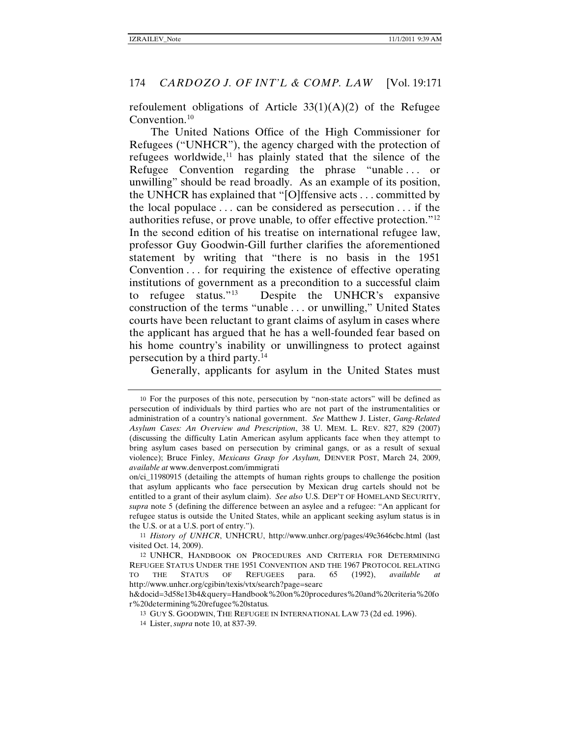<span id="page-3-0"></span>refoulement obligations of Article  $33(1)(A)(2)$  of the Refugee Convention. $10$ 

The United Nations Office of the High Commissioner for Refugees ("UNHCR"), the agency charged with the protection of refugees worldwide, $11$  has plainly stated that the silence of the Refugee Convention regarding the phrase "unable . . . or unwilling" should be read broadly. As an example of its position, the UNHCR has explained that "[O]ffensive acts . . . committed by the local populace . . . can be considered as persecution . . . if the authorities refuse, or prove unable*,* to offer effective protection."[12](#page-3-3)  In the second edition of his treatise on international refugee law, professor Guy Goodwin-Gill further clarifies the aforementioned statement by writing that "there is no basis in the 1951 Convention . . . for requiring the existence of effective operating institutions of government as a precondition to a successful claim to refugee status."[13](#page-3-4) Despite the UNHCR's expansive construction of the terms "unable . . . or unwilling," United States courts have been reluctant to grant claims of asylum in cases where the applicant has argued that he has a well-founded fear based on his home country's inability or unwillingness to protect against persecution by a third party.[14](#page-3-5)

Generally, applicants for asylum in the United States must

<span id="page-3-1"></span><sup>10</sup> For the purposes of this note, persecution by "non-state actors" will be defined as persecution of individuals by third parties who are not part of the instrumentalities or administration of a country's national government. *See* Matthew J. Lister, *Gang-Related Asylum Cases: An Overview and Prescription*, 38 U. MEM. L. REV. 827, 829 (2007) (discussing the difficulty Latin American asylum applicants face when they attempt to bring asylum cases based on persecution by criminal gangs, or as a result of sexual violence); Bruce Finley, *Mexicans Grasp for Asylum,* DENVER POST, March 24, 2009, *available at* www.denverpost.com/immigrati

on/ci\_11980915 (detailing the attempts of human rights groups to challenge the position that asylum applicants who face persecution by Mexican drug cartels should not be entitled to a grant of their asylum claim). *See also* U.S. DEP'T OF HOMELAND SECURITY, *supra* note [5](#page-1-7) (defining the difference between an asylee and a refugee: "An applicant for refugee status is outside the United States, while an applicant seeking asylum status is in the U.S. or at a U.S. port of entry.").

<span id="page-3-2"></span><sup>11</sup> *History of UNHCR*, UNHCRU, http://www.unhcr.org/pages/49c3646cbc.html (last visited Oct. 14, 2009).

<span id="page-3-3"></span><sup>12</sup> UNHCR, HANDBOOK ON PROCEDURES AND CRITERIA FOR DETERMINING REFUGEE STATUS UNDER THE 1951 CONVENTION AND THE 1967 PROTOCOL RELATING TO THE STATUS OF REFUGEES para. 65 (1992), *available at*  http://www.unhcr.org/cgibin/texis/vtx/search?page=searc

<span id="page-3-5"></span><span id="page-3-4"></span>h&docid=3d58e13b4&query=Handbook%20on%20procedures%20and%20criteria%20fo r%20determining%20refugee%20status*.*

<sup>13</sup> GUY S. GOODWIN, THE REFUGEE IN INTERNATIONAL LAW 73 (2d ed. 1996).

<sup>14</sup> Lister, *supra* not[e 10,](#page-3-0) at 837-39.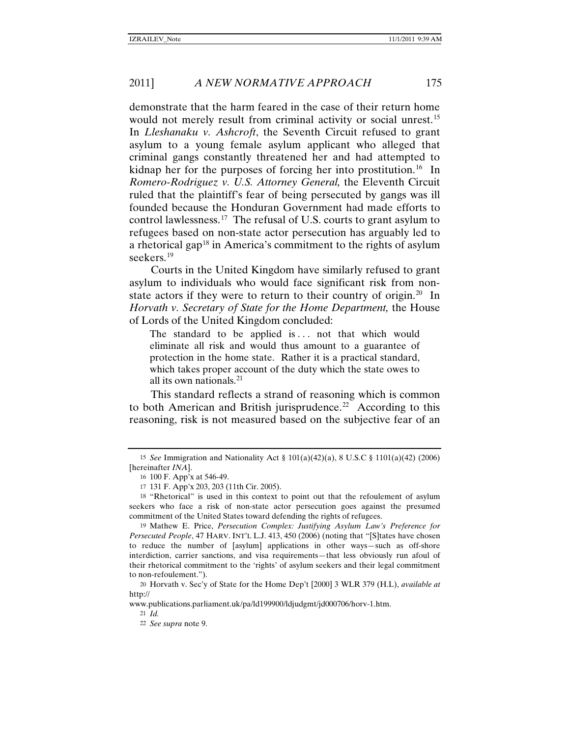demonstrate that the harm feared in the case of their return home would not merely result from criminal activity or social unrest.<sup>15</sup> In *Lleshanaku v. Ashcroft*, the Seventh Circuit refused to grant asylum to a young female asylum applicant who alleged that criminal gangs constantly threatened her and had attempted to kidnap her for the purposes of forcing her into prostitution.<sup>16</sup> In *Romero-Rodriguez v. U.S. Attorney General,* the Eleventh Circuit ruled that the plaintiff's fear of being persecuted by gangs was ill founded because the Honduran Government had made efforts to control lawlessness.[17](#page-4-2) The refusal of U.S. courts to grant asylum to refugees based on non-state actor persecution has arguably led to a rhetorical gap<sup>[18](#page-4-3)</sup> in America's commitment to the rights of asylum seekers.<sup>[19](#page-4-4)</sup>

Courts in the United Kingdom have similarly refused to grant asylum to individuals who would face significant risk from non-state actors if they were to return to their country of origin.<sup>[20](#page-4-5)</sup> In *Horvath v. Secretary of State for the Home Department,* the House of Lords of the United Kingdom concluded:

The standard to be applied is  $\ldots$  not that which would eliminate all risk and would thus amount to a guarantee of protection in the home state. Rather it is a practical standard, which takes proper account of the duty which the state owes to all its own nationals. [21](#page-4-6)

This standard reflects a strand of reasoning which is common to both American and British jurisprudence.<sup>[22](#page-4-7)</sup> According to this reasoning, risk is not measured based on the subjective fear of an

<span id="page-4-7"></span><span id="page-4-6"></span>www.publications.parliament.uk/pa/ld199900/ldjudgmt/jd000706/horv-1.htm.

21 *Id.*

<span id="page-4-0"></span><sup>15</sup> *See* Immigration and Nationality Act § 101(a)(42)(a), 8 U.S.C § 1101(a)(42) (2006) [hereinafter *INA*].

<sup>16</sup> 100 F. App'x at 546-49.

<sup>17</sup> 131 F. App'x 203, 203 (11th Cir. 2005).

<span id="page-4-3"></span><span id="page-4-2"></span><span id="page-4-1"></span><sup>18</sup> "Rhetorical" is used in this context to point out that the refoulement of asylum seekers who face a risk of non-state actor persecution goes against the presumed commitment of the United States toward defending the rights of refugees.

<span id="page-4-4"></span><sup>19</sup> Mathew E. Price, *Persecution Complex: Justifying Asylum Law's Preference for Persecuted People*, 47 HARV. INT'L L.J. 413, 450 (2006) (noting that "[S]tates have chosen to reduce the number of [asylum] applications in other ways—such as off-shore interdiction, carrier sanctions, and visa requirements—that less obviously run afoul of their rhetorical commitment to the 'rights' of asylum seekers and their legal commitment to non-refoulement.").

<span id="page-4-5"></span><sup>20</sup> Horvath v. Sec'y of State for the Home Dep't [2000] 3 WLR 379 (H.L), *available at* http://

<sup>22</sup> *See supra* not[e 9.](#page-2-4)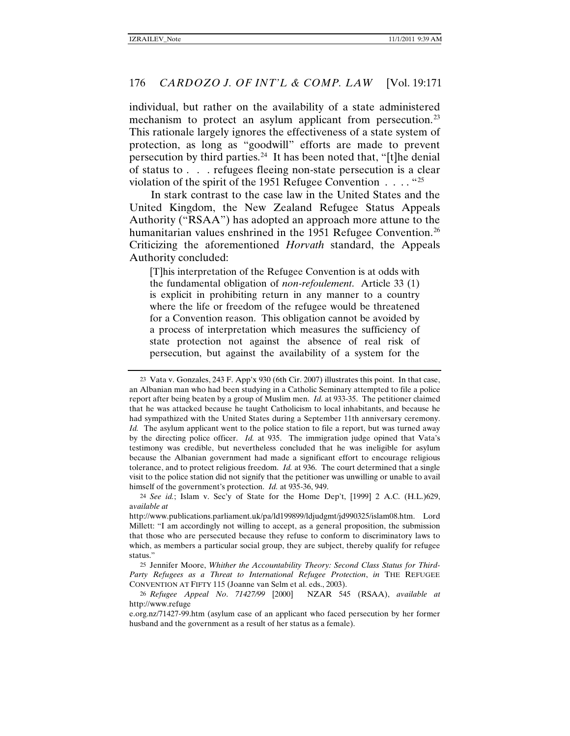individual, but rather on the availability of a state administered mechanism to protect an asylum applicant from persecution.<sup>23</sup> This rationale largely ignores the effectiveness of a state system of protection, as long as "goodwill" efforts are made to prevent persecution by third parties.<sup>[24](#page-5-1)</sup> It has been noted that, "[t]he denial of status to . . . refugees fleeing non-state persecution is a clear violation of the spirit of the 1951 Refugee Convention  $\dots$ . "[25](#page-5-2)

In stark contrast to the case law in the United States and the United Kingdom, the New Zealand Refugee Status Appeals Authority ("RSAA") has adopted an approach more attune to the humanitarian values enshrined in the 1951 Refugee Convention.<sup>[26](#page-5-3)</sup> Criticizing the aforementioned *Horvath* standard, the Appeals Authority concluded:

[T]his interpretation of the Refugee Convention is at odds with the fundamental obligation of *non-refoulement*. Article 33 (1) is explicit in prohibiting return in any manner to a country where the life or freedom of the refugee would be threatened for a Convention reason. This obligation cannot be avoided by a process of interpretation which measures the sufficiency of state protection not against the absence of real risk of persecution, but against the availability of a system for the

<span id="page-5-0"></span><sup>23</sup> Vata v. Gonzales, 243 F. App'x 930 (6th Cir. 2007) illustrates this point. In that case, an Albanian man who had been studying in a Catholic Seminary attempted to file a police report after being beaten by a group of Muslim men. *Id.* at 933-35. The petitioner claimed that he was attacked because he taught Catholicism to local inhabitants, and because he had sympathized with the United States during a September 11th anniversary ceremony. *Id.* The asylum applicant went to the police station to file a report, but was turned away by the directing police officer. *Id.* at 935. The immigration judge opined that Vata's testimony was credible, but nevertheless concluded that he was ineligible for asylum because the Albanian government had made a significant effort to encourage religious tolerance, and to protect religious freedom. *Id.* at 936. The court determined that a single visit to the police station did not signify that the petitioner was unwilling or unable to avail himself of the government's protection. *Id.* at 935-36, 949.

<span id="page-5-1"></span><sup>24</sup> *See id.*; Islam v. Sec'y of State for the Home Dep't, [1999] 2 A.C. (H.L.)629, a*vailable at*

http://www.publications.parliament.uk/pa/ld199899/ldjudgmt/jd990325/islam08.htm. Lord Millett: "I am accordingly not willing to accept, as a general proposition, the submission that those who are persecuted because they refuse to conform to discriminatory laws to which, as members a particular social group, they are subject, thereby qualify for refugee status."

<span id="page-5-2"></span><sup>25</sup> Jennifer Moore, *Whither the Accountability Theory: Second Class Status for Third-Party Refugees as a Threat to International Refugee Protection*, *in* THE REFUGEE CONVENTION AT FIFTY 115 (Joanne van Selm et al. eds., 2003).

<span id="page-5-3"></span><sup>26</sup> *Refugee Appeal No*. *71427/99* [2000] NZAR 545 (RSAA), *available at*  http://www.refuge

e.org.nz/71427-99.htm (asylum case of an applicant who faced persecution by her former husband and the government as a result of her status as a female).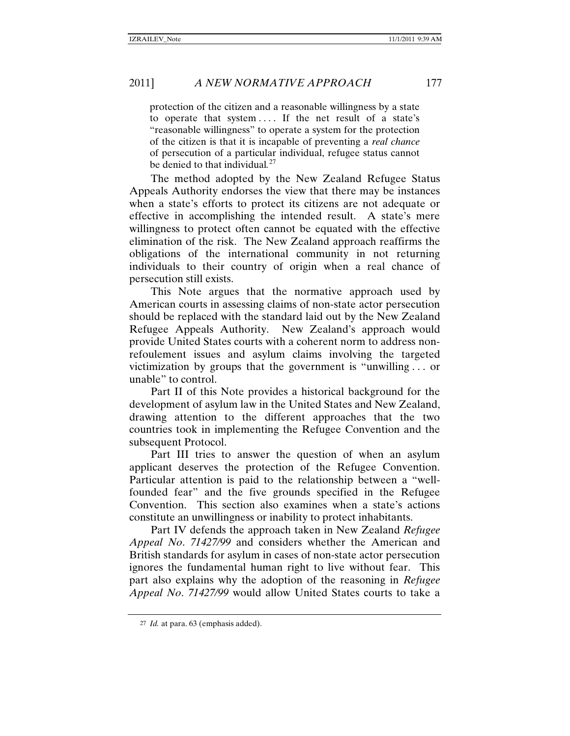protection of the citizen and a reasonable willingness by a state to operate that system . . . . If the net result of a state's "reasonable willingness" to operate a system for the protection of the citizen is that it is incapable of preventing a *real chance*  of persecution of a particular individual, refugee status cannot be denied to that individual*.* [27](#page-6-0)

The method adopted by the New Zealand Refugee Status Appeals Authority endorses the view that there may be instances when a state's efforts to protect its citizens are not adequate or effective in accomplishing the intended result. A state's mere willingness to protect often cannot be equated with the effective elimination of the risk. The New Zealand approach reaffirms the obligations of the international community in not returning individuals to their country of origin when a real chance of persecution still exists.

This Note argues that the normative approach used by American courts in assessing claims of non-state actor persecution should be replaced with the standard laid out by the New Zealand Refugee Appeals Authority. New Zealand's approach would provide United States courts with a coherent norm to address nonrefoulement issues and asylum claims involving the targeted victimization by groups that the government is "unwilling . . . or unable" to control.

Part II of this Note provides a historical background for the development of asylum law in the United States and New Zealand, drawing attention to the different approaches that the two countries took in implementing the Refugee Convention and the subsequent Protocol.

Part III tries to answer the question of when an asylum applicant deserves the protection of the Refugee Convention. Particular attention is paid to the relationship between a "wellfounded fear" and the five grounds specified in the Refugee Convention. This section also examines when a state's actions constitute an unwillingness or inability to protect inhabitants.

Part IV defends the approach taken in New Zealand *Refugee Appeal No*. *71427/99* and considers whether the American and British standards for asylum in cases of non-state actor persecution ignores the fundamental human right to live without fear. This part also explains why the adoption of the reasoning in *Refugee Appeal No*. *71427/99* would allow United States courts to take a

<span id="page-6-0"></span><sup>27</sup> *Id.* at para. 63 (emphasis added).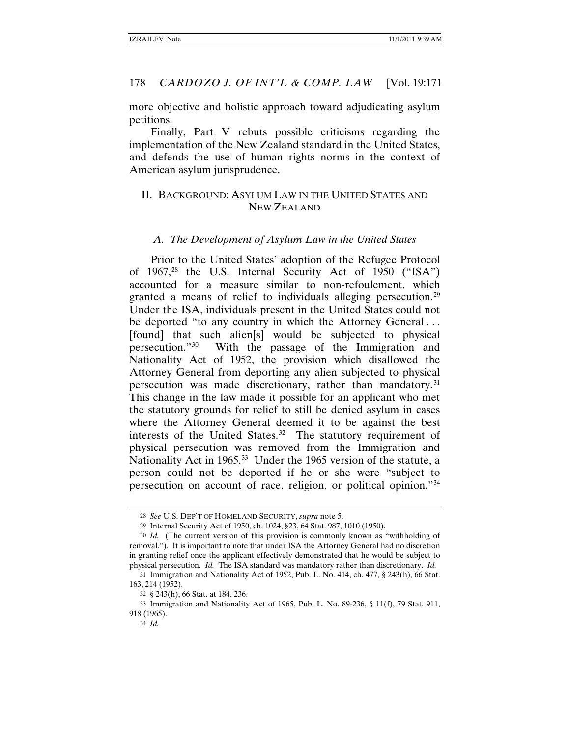more objective and holistic approach toward adjudicating asylum petitions.

Finally, Part V rebuts possible criticisms regarding the implementation of the New Zealand standard in the United States, and defends the use of human rights norms in the context of American asylum jurisprudence.

# II. BACKGROUND: ASYLUM LAW IN THE UNITED STATES AND NEW ZEALAND

#### *A. The Development of Asylum Law in the United States*

Prior to the United States' adoption of the Refugee Protocol of  $1967<sup>28</sup>$  $1967<sup>28</sup>$  $1967<sup>28</sup>$  the U.S. Internal Security Act of 1950 ("ISA") accounted for a measure similar to non-refoulement, which granted a means of relief to individuals alleging persecution.<sup>29</sup> Under the ISA, individuals present in the United States could not be deported "to any country in which the Attorney General... [found] that such alien[s] would be subjected to physical persecution."[30](#page-7-2) With the passage of the Immigration and Nationality Act of 1952, the provision which disallowed the Attorney General from deporting any alien subjected to physical persecution was made discretionary, rather than mandatory.<sup>31</sup> This change in the law made it possible for an applicant who met the statutory grounds for relief to still be denied asylum in cases where the Attorney General deemed it to be against the best interests of the United States.<sup>32</sup> The statutory requirement of physical persecution was removed from the Immigration and Nationality Act in 1965.<sup>33</sup> Under the 1965 version of the statute, a person could not be deported if he or she were "subject to persecution on account of race, religion, or political opinion."[34](#page-7-6)

<span id="page-7-7"></span><sup>28</sup> *See* U.S. DEP'T OF HOMELAND SECURITY, *supra* note [5.](#page-1-7)

<sup>29</sup> Internal Security Act of 1950, ch. 1024, §23, 64 Stat. 987, 1010 (1950).

<span id="page-7-2"></span><span id="page-7-1"></span><span id="page-7-0"></span><sup>30</sup> *Id.* (The current version of this provision is commonly known as "withholding of removal."). It is important to note that under ISA the Attorney General had no discretion in granting relief once the applicant effectively demonstrated that he would be subject to physical persecution. *Id.* The ISA standard was mandatory rather than discretionary. *Id.*

<span id="page-7-3"></span><sup>31</sup> Immigration and Nationality Act of 1952, Pub. L. No. 414, ch. 477, § 243(h), 66 Stat. 163, 214 (1952).

<sup>32</sup> § 243(h), 66 Stat. at 184, 236.

<span id="page-7-6"></span><span id="page-7-5"></span><span id="page-7-4"></span><sup>33</sup> Immigration and Nationality Act of 1965, Pub. L. No. 89-236, § 11(f), 79 Stat. 911, 918 (1965).

<sup>34</sup> *Id.*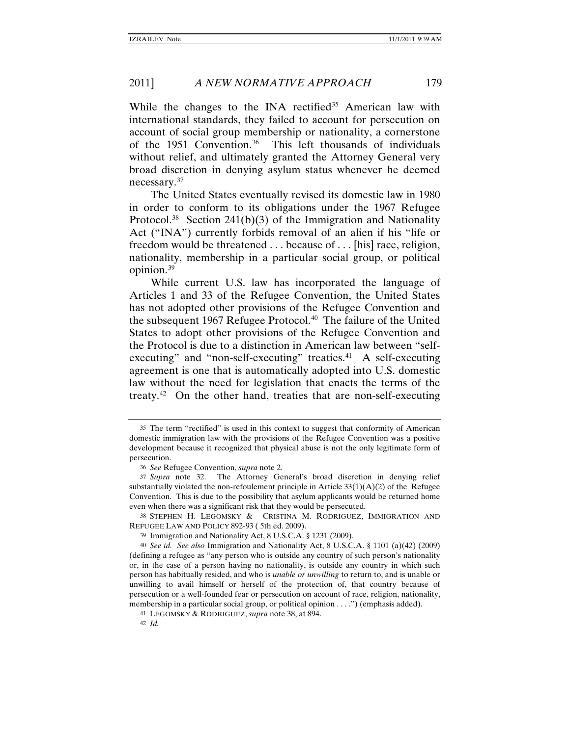While the changes to the INA rectified<sup>[35](#page-8-1)</sup> American law with international standards, they failed to account for persecution on account of social group membership or nationality, a cornerstone of the 1951 Convention.[36](#page-8-2) This left thousands of individuals without relief, and ultimately granted the Attorney General very broad discretion in denying asylum status whenever he deemed necessary.<sup>[37](#page-8-3)</sup>

<span id="page-8-0"></span>The United States eventually revised its domestic law in 1980 in order to conform to its obligations under the 1967 Refugee Protocol.<sup>[38](#page-8-4)</sup> Section 241(b)(3) of the Immigration and Nationality Act ("INA") currently forbids removal of an alien if his "life or freedom would be threatened . . . because of . . . [his] race, religion, nationality, membership in a particular social group, or political opinion.[39](#page-8-5)

While current U.S. law has incorporated the language of Articles 1 and 33 of the Refugee Convention, the United States has not adopted other provisions of the Refugee Convention and the subsequent 1967 Refugee Protocol.<sup>[40](#page-8-6)</sup> The failure of the United States to adopt other provisions of the Refugee Convention and the Protocol is due to a distinction in American law between "self-executing" and "non-self-executing" treaties.<sup>[41](#page-8-7)</sup> A self-executing agreement is one that is automatically adopted into U.S. domestic law without the need for legislation that enacts the terms of the treaty.<sup>[42](#page-8-8)</sup> On the other hand, treaties that are non-self-executing

<span id="page-8-1"></span><sup>35</sup> The term "rectified" is used in this context to suggest that conformity of American domestic immigration law with the provisions of the Refugee Convention was a positive development because it recognized that physical abuse is not the only legitimate form of persecution.

<sup>36</sup> *See* Refugee Convention, *supra* not[e 2.](#page-1-6)

<span id="page-8-3"></span><span id="page-8-2"></span><sup>37</sup> *Supra* note [32.](#page-7-7) The Attorney General's broad discretion in denying relief substantially violated the non-refoulement principle in Article  $33(1)(A)(2)$  of the Refugee Convention. This is due to the possibility that asylum applicants would be returned home even when there was a significant risk that they would be persecuted.

<span id="page-8-4"></span><sup>38</sup> STEPHEN H. LEGOMSKY & CRISTINA M. RODRIGUEZ, IMMIGRATION AND REFUGEE LAW AND POLICY 892-93 ( 5th ed. 2009).

<sup>39</sup> Immigration and Nationality Act, 8 U.S.C.A. § 1231 (2009).

<span id="page-8-6"></span><span id="page-8-5"></span><sup>40</sup> *See id. See also* Immigration and Nationality Act, 8 U.S.C.A. § 1101 (a)(42) (2009) (defining a refugee as "any person who is outside any country of such person's nationality or, in the case of a person having no nationality, is outside any country in which such person has habitually resided, and who is *unable or unwilling* to return to, and is unable or unwilling to avail himself or herself of the protection of, that country because of persecution or a well-founded fear or persecution on account of race, religion, nationality, membership in a particular social group, or political opinion . . . .") (emphasis added).

<span id="page-8-8"></span><span id="page-8-7"></span><sup>41</sup> LEGOMSKY & RODRIGUEZ, *supra* not[e 38,](#page-8-0) at 894.

<sup>42</sup> *Id.*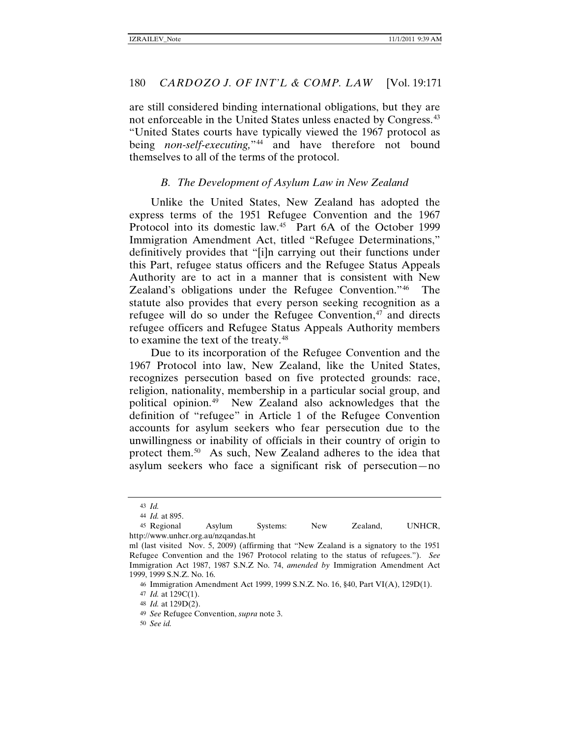are still considered binding international obligations, but they are not enforceable in the United States unless enacted by Congress.<sup>43</sup> "United States courts have typically viewed the 1967 protocol as being *non-self-executing*,"<sup>[44](#page-9-1)</sup> and have therefore not bound themselves to all of the terms of the protocol.

#### *B. The Development of Asylum Law in New Zealand*

Unlike the United States, New Zealand has adopted the express terms of the 1951 Refugee Convention and the 1967 Protocol into its domestic law.<sup>[45](#page-9-2)</sup> Part 6A of the October 1999 Immigration Amendment Act, titled "Refugee Determinations," definitively provides that "[i]n carrying out their functions under this Part, refugee status officers and the Refugee Status Appeals Authority are to act in a manner that is consistent with New Zealand's obligations under the Refugee Convention."[46](#page-9-3) The statute also provides that every person seeking recognition as a refugee will do so under the Refugee Convention, $47$  and directs refugee officers and Refugee Status Appeals Authority members to examine the text of the treaty.<sup>[48](#page-9-5)</sup>

Due to its incorporation of the Refugee Convention and the 1967 Protocol into law, New Zealand, like the United States, recognizes persecution based on five protected grounds: race, religion, nationality, membership in a particular social group, and political opinion.[49](#page-9-6) New Zealand also acknowledges that the definition of "refugee" in Article 1 of the Refugee Convention accounts for asylum seekers who fear persecution due to the unwillingness or inability of officials in their country of origin to protect them.<sup>[50](#page-9-7)</sup> As such, New Zealand adheres to the idea that asylum seekers who face a significant risk of persecution—no

<sup>43</sup> *Id.*

<sup>44</sup> *Id.* at 895.

<span id="page-9-2"></span><span id="page-9-1"></span><span id="page-9-0"></span><sup>45</sup> Regional Asylum Systems: New Zealand, UNHCR, http://www.unhcr.org.au/nzqandas.ht

<span id="page-9-4"></span><span id="page-9-3"></span>ml (last visited Nov. 5, 2009) (affirming that "New Zealand is a signatory to the 1951 Refugee Convention and the 1967 Protocol relating to the status of refugees."). *See*  Immigration Act 1987, 1987 S.N.Z No. 74, *amended by* Immigration Amendment Act 1999, 1999 S.N.Z. No. 16.

<sup>46</sup> Immigration Amendment Act 1999, 1999 S.N.Z. No. 16, §40, Part VI(A), 129D(1).

<sup>47</sup> *Id.* at 129C(1).

<span id="page-9-5"></span><sup>48</sup> *Id.* at 129D(2).

<span id="page-9-6"></span><sup>49</sup> *See* Refugee Convention, *supra* note 3.

<span id="page-9-7"></span><sup>50</sup> *See id.*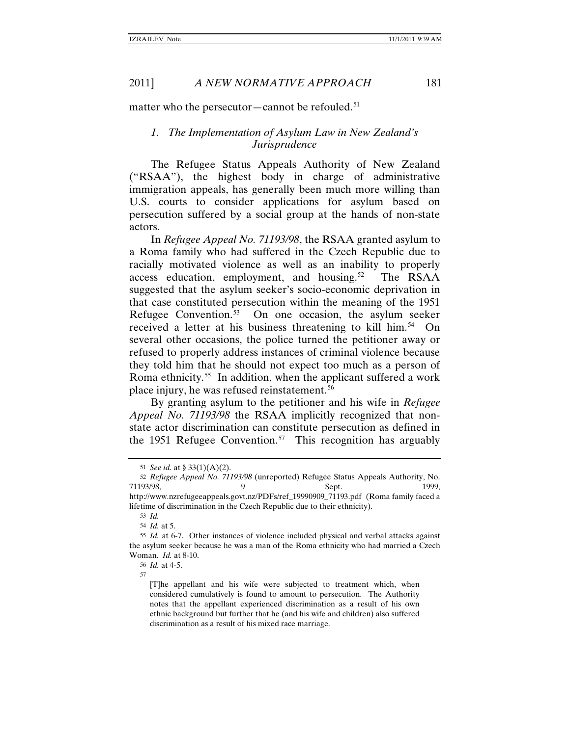matter who the persecutor-cannot be refouled.<sup>[51](#page-10-0)</sup>

#### *1. The Implementation of Asylum Law in New Zealand's Jurisprudence*

The Refugee Status Appeals Authority of New Zealand ("RSAA"), the highest body in charge of administrative immigration appeals, has generally been much more willing than U.S. courts to consider applications for asylum based on persecution suffered by a social group at the hands of non-state actors.

In *Refugee Appeal No. 71193/98*, the RSAA granted asylum to a Roma family who had suffered in the Czech Republic due to racially motivated violence as well as an inability to properly access education, employment, and housing.<sup>[52](#page-10-1)</sup> The RSAA suggested that the asylum seeker's socio-economic deprivation in that case constituted persecution within the meaning of the 1951 Refugee Convention.<sup>53</sup> On one occasion, the asylum seeker received a letter at his business threatening to kill him.<sup>[54](#page-10-3)</sup> On several other occasions, the police turned the petitioner away or refused to properly address instances of criminal violence because they told him that he should not expect too much as a person of Roma ethnicity.[55](#page-10-4) In addition, when the applicant suffered a work place injury, he was refused reinstatement.[56](#page-10-5)

By granting asylum to the petitioner and his wife in *Refugee Appeal No. 71193/98* the RSAA implicitly recognized that nonstate actor discrimination can constitute persecution as defined in the 1951 Refugee Convention.<sup>[57](#page-10-6)</sup> This recognition has arguably

<sup>51</sup> *See id.* at § 33(1)(A)(2).

<span id="page-10-1"></span><span id="page-10-0"></span><sup>52</sup> *Refugee Appeal No. 71193/98* (unreported) Refugee Status Appeals Authority, No. 71193/98, 9 Sept. 1999, http://www.nzrefugeeappeals.govt.nz/PDFs/ref\_19990909\_71193.pdf (Roma family faced a

<span id="page-10-2"></span>lifetime of discrimination in the Czech Republic due to their ethnicity).

<sup>53</sup> *Id.*

<sup>54</sup> *Id.* at 5.

<span id="page-10-6"></span><span id="page-10-5"></span><span id="page-10-4"></span><span id="page-10-3"></span><sup>55</sup> *Id.* at 6-7. Other instances of violence included physical and verbal attacks against the asylum seeker because he was a man of the Roma ethnicity who had married a Czech Woman. *Id.* at 8-10.

<sup>56</sup> *Id.* at 4-5.

<sup>57</sup>

<sup>[</sup>T]he appellant and his wife were subjected to treatment which, when considered cumulatively is found to amount to persecution. The Authority notes that the appellant experienced discrimination as a result of his own ethnic background but further that he (and his wife and children) also suffered discrimination as a result of his mixed race marriage.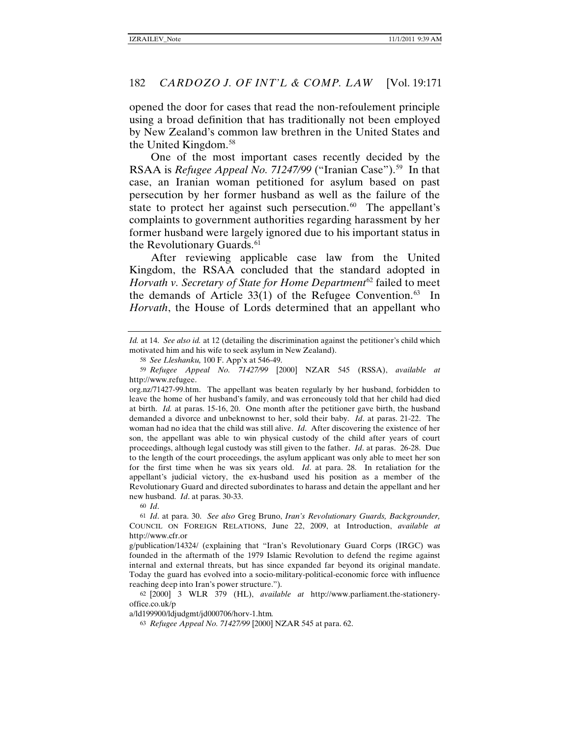opened the door for cases that read the non-refoulement principle using a broad definition that has traditionally not been employed by New Zealand's common law brethren in the United States and the United Kingdom.[58](#page-11-0)

One of the most important cases recently decided by the RSAA is *Refugee Appeal No. 71247/99* ("Iranian Case").<sup>[59](#page-11-1)</sup> In that case, an Iranian woman petitioned for asylum based on past persecution by her former husband as well as the failure of the state to protect her against such persecution. $60$  The appellant's complaints to government authorities regarding harassment by her former husband were largely ignored due to his important status in the Revolutionary Guards. $61$ 

After reviewing applicable case law from the United Kingdom, the RSAA concluded that the standard adopted in *Horvath v. Secretary of State for Home Department*[62](#page-11-4) failed to meet the demands of Article  $33(1)$  of the Refugee Convention.<sup>[63](#page-11-5)</sup> In *Horvath*, the House of Lords determined that an appellant who

60 *Id*.

<span id="page-11-5"></span>a/ld199900/ldjudgmt/jd000706/horv-1.htm*.*

*Id.* at 14. *See also id.* at 12 (detailing the discrimination against the petitioner's child which motivated him and his wife to seek asylum in New Zealand).

<sup>58</sup> *See Lleshanku,* 100 F. App'x at 546-49.

<span id="page-11-1"></span><span id="page-11-0"></span><sup>59</sup> *Refugee Appeal No. 71427/99* [2000] NZAR 545 (RSSA), *available at* http://www.refugee.

org.nz/71427-99.htm. The appellant was beaten regularly by her husband, forbidden to leave the home of her husband's family, and was erroneously told that her child had died at birth. *Id.* at paras. 15-16, 20. One month after the petitioner gave birth, the husband demanded a divorce and unbeknownst to her, sold their baby. *Id*. at paras. 21-22. The woman had no idea that the child was still alive. *Id*. After discovering the existence of her son, the appellant was able to win physical custody of the child after years of court proceedings, although legal custody was still given to the father. *Id*. at paras. 26-28. Due to the length of the court proceedings, the asylum applicant was only able to meet her son for the first time when he was six years old. *Id*. at para. 28. In retaliation for the appellant's judicial victory, the ex-husband used his position as a member of the Revolutionary Guard and directed subordinates to harass and detain the appellant and her new husband. *Id*. at paras. 30-33.

<span id="page-11-3"></span><span id="page-11-2"></span><sup>61</sup> *Id*. at para. 30. *See also* Greg Bruno, *Iran's Revolutionary Guards, Backgrounder,*  COUNCIL ON FOREIGN RELATIONS, June 22, 2009, at Introduction, *available at* http://www.cfr.or

g/publication/14324/ (explaining that "Iran's Revolutionary Guard Corps (IRGC) was founded in the aftermath of the 1979 Islamic Revolution to defend the regime against internal and external threats, but has since expanded far beyond its original mandate. Today the guard has evolved into a socio-military-political-economic force with influence reaching deep into Iran's power structure.").

<span id="page-11-4"></span><sup>62</sup> [2000] 3 WLR 379 (HL), *available at* http://www.parliament.the-stationeryoffice.co.uk/p

<sup>63</sup> *Refugee Appeal No. 71427/99* [2000] NZAR 545 at para. 62.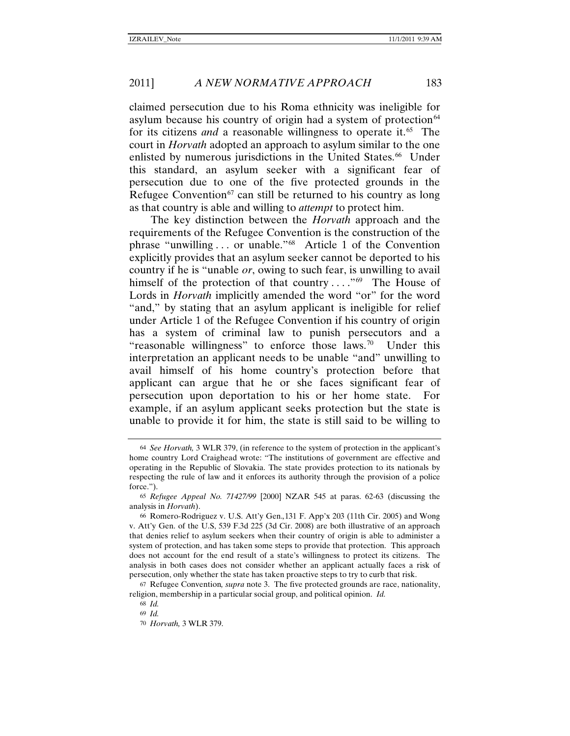claimed persecution due to his Roma ethnicity was ineligible for asylum because his country of origin had a system of protection $^{64}$  $^{64}$  $^{64}$ for its citizens *and* a reasonable willingness to operate it.<sup>65</sup> The court in *Horvath* adopted an approach to asylum similar to the one enlisted by numerous jurisdictions in the United States.<sup>66</sup> Under this standard, an asylum seeker with a significant fear of persecution due to one of the five protected grounds in the Refugee Convention<sup>[67](#page-12-3)</sup> can still be returned to his country as long as that country is able and willing to *attempt* to protect him.

The key distinction between the *Horvath* approach and the requirements of the Refugee Convention is the construction of the phrase "unwilling . . . or unable." [68](#page-12-4) Article 1 of the Convention explicitly provides that an asylum seeker cannot be deported to his country if he is "unable *or*, owing to such fear, is unwilling to avail himself of the protection of that country ...."<sup>[69](#page-12-5)</sup> The House of Lords in *Horvath* implicitly amended the word "or" for the word "and," by stating that an asylum applicant is ineligible for relief under Article 1 of the Refugee Convention if his country of origin has a system of criminal law to punish persecutors and a "reasonable willingness" to enforce those laws.<sup>[70](#page-12-6)</sup> Under this interpretation an applicant needs to be unable "and" unwilling to avail himself of his home country's protection before that applicant can argue that he or she faces significant fear of persecution upon deportation to his or her home state. For example, if an asylum applicant seeks protection but the state is unable to provide it for him, the state is still said to be willing to

69 *Id.*

<span id="page-12-0"></span><sup>64</sup> *See Horvath,* 3 WLR 379, (in reference to the system of protection in the applicant's home country Lord Craighead wrote: "The institutions of government are effective and operating in the Republic of Slovakia. The state provides protection to its nationals by respecting the rule of law and it enforces its authority through the provision of a police force.").

<span id="page-12-1"></span><sup>65</sup> *Refugee Appeal No. 71427/99* [2000] NZAR 545 at paras. 62-63 (discussing the analysis in *Horvath*).

<span id="page-12-2"></span><sup>66</sup> Romero-Rodriguez v. U.S. Att'y Gen.*,*131 F. App'x 203 (11th Cir. 2005) and Wong v. Att'y Gen. of the U.S, 539 F.3d 225 (3d Cir. 2008) are both illustrative of an approach that denies relief to asylum seekers when their country of origin is able to administer a system of protection, and has taken some steps to provide that protection. This approach does not account for the end result of a state's willingness to protect its citizens. The analysis in both cases does not consider whether an applicant actually faces a risk of persecution, only whether the state has taken proactive steps to try to curb that risk.

<span id="page-12-6"></span><span id="page-12-5"></span><span id="page-12-4"></span><span id="page-12-3"></span><sup>67</sup> Refugee Convention*, supra* note 3. The five protected grounds are race, nationality, religion, membership in a particular social group, and political opinion. *Id.*

<sup>68</sup> *Id.*

<sup>70</sup> *Horvath,* 3 WLR 379.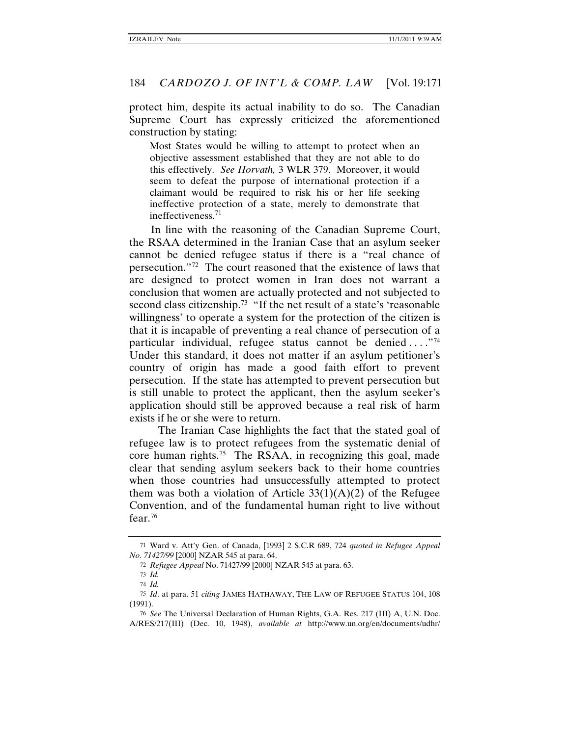protect him, despite its actual inability to do so. The Canadian Supreme Court has expressly criticized the aforementioned construction by stating:

Most States would be willing to attempt to protect when an objective assessment established that they are not able to do this effectively. *See Horvath,* 3 WLR 379. Moreover, it would seem to defeat the purpose of international protection if a claimant would be required to risk his or her life seeking ineffective protection of a state, merely to demonstrate that ineffectiveness.[71](#page-13-0)

In line with the reasoning of the Canadian Supreme Court, the RSAA determined in the Iranian Case that an asylum seeker cannot be denied refugee status if there is a "real chance of persecution."[72](#page-13-1) The court reasoned that the existence of laws that are designed to protect women in Iran does not warrant a conclusion that women are actually protected and not subjected to second class citizenship.<sup>[73](#page-13-2)</sup> "If the net result of a state's 'reasonable willingness' to operate a system for the protection of the citizen is that it is incapable of preventing a real chance of persecution of a particular individual, refugee status cannot be denied ...."<sup>[74](#page-13-3)</sup> Under this standard, it does not matter if an asylum petitioner's country of origin has made a good faith effort to prevent persecution. If the state has attempted to prevent persecution but is still unable to protect the applicant, then the asylum seeker's application should still be approved because a real risk of harm exists if he or she were to return.

<span id="page-13-6"></span>The Iranian Case highlights the fact that the stated goal of refugee law is to protect refugees from the systematic denial of core human rights. [75](#page-13-4) The RSAA, in recognizing this goal, made clear that sending asylum seekers back to their home countries when those countries had unsuccessfully attempted to protect them was both a violation of Article  $33(1)(A)(2)$  of the Refugee Convention, and of the fundamental human right to live without fear.[76](#page-13-5)

<span id="page-13-7"></span><span id="page-13-1"></span><span id="page-13-0"></span><sup>71</sup> Ward v. Att'y Gen. of Canada, [1993] 2 S.C.R 689, 724 *quoted in Refugee Appeal No. 71427/99* [2000] NZAR 545 at para. 64.

<sup>72</sup> *Refugee Appeal* No. 71427/99 [2000] NZAR 545 at para. 63.

<sup>73</sup> *Id.* 74 *Id.*

<sup>75</sup> *Id*. at para. 51 *citing* JAMES HATHAWAY, THE LAW OF REFUGEE STATUS 104, 108

<span id="page-13-5"></span><span id="page-13-4"></span><span id="page-13-3"></span><span id="page-13-2"></span><sup>(1991).</sup> 76 *See* The Universal Declaration of Human Rights, G.A. Res. 217 (III) A, U.N. Doc.

A/RES/217(III) (Dec. 10, 1948), *available at* http://www.un.org/en/documents/udhr/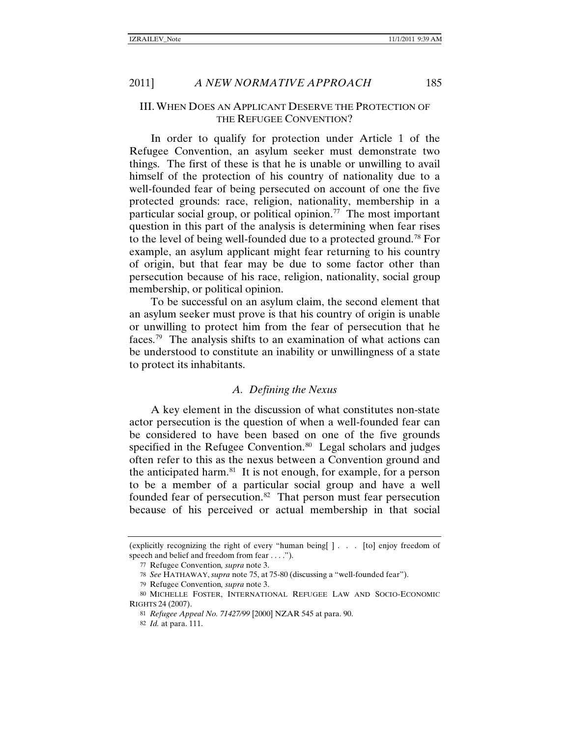#### III.WHEN DOES AN APPLICANT DESERVE THE PROTECTION OF THE REFUGEE CONVENTION?

In order to qualify for protection under Article 1 of the Refugee Convention, an asylum seeker must demonstrate two things. The first of these is that he is unable or unwilling to avail himself of the protection of his country of nationality due to a well-founded fear of being persecuted on account of one the five protected grounds: race, religion, nationality, membership in a particular social group, or political opinion.<sup>[77](#page-14-0)</sup> The most important question in this part of the analysis is determining when fear rises to the level of being well-founded due to a protected ground.[78](#page-14-1) For example, an asylum applicant might fear returning to his country of origin, but that fear may be due to some factor other than persecution because of his race, religion, nationality, social group membership, or political opinion.

To be successful on an asylum claim, the second element that an asylum seeker must prove is that his country of origin is unable or unwilling to protect him from the fear of persecution that he faces. [79](#page-14-2) The analysis shifts to an examination of what actions can be understood to constitute an inability or unwillingness of a state to protect its inhabitants.

#### <span id="page-14-6"></span>*A. Defining the Nexus*

A key element in the discussion of what constitutes non-state actor persecution is the question of when a well-founded fear can be considered to have been based on one of the five grounds specified in the Refugee Convention.<sup>[80](#page-14-3)</sup> Legal scholars and judges often refer to this as the nexus between a Convention ground and the anticipated harm. $81$  It is not enough, for example, for a person to be a member of a particular social group and have a well founded fear of persecution.<sup>[82](#page-14-5)</sup> That person must fear persecution because of his perceived or actual membership in that social

<span id="page-14-7"></span>

<span id="page-14-0"></span><sup>(</sup>explicitly recognizing the right of every "human being[ ] . . . [to] enjoy freedom of speech and belief and freedom from fear . . . .").

<sup>77</sup> Refugee Convention*, supra* note 3.

<sup>78</sup> *See* HATHAWAY, *supra* note [75,](#page-13-6) at 75-80 (discussing a "well-founded fear").

<sup>79</sup> Refugee Convention*, supra* note [3.](#page-1-8)

<span id="page-14-5"></span><span id="page-14-4"></span><span id="page-14-3"></span><span id="page-14-2"></span><span id="page-14-1"></span><sup>80</sup> MICHELLE FOSTER, INTERNATIONAL REFUGEE LAW AND SOCIO-ECONOMIC RIGHTS 24 (2007).

<sup>81</sup> *Refugee Appeal No. 71427/99* [2000] NZAR 545 at para. 90.

<sup>82</sup> *Id.* at para. 111.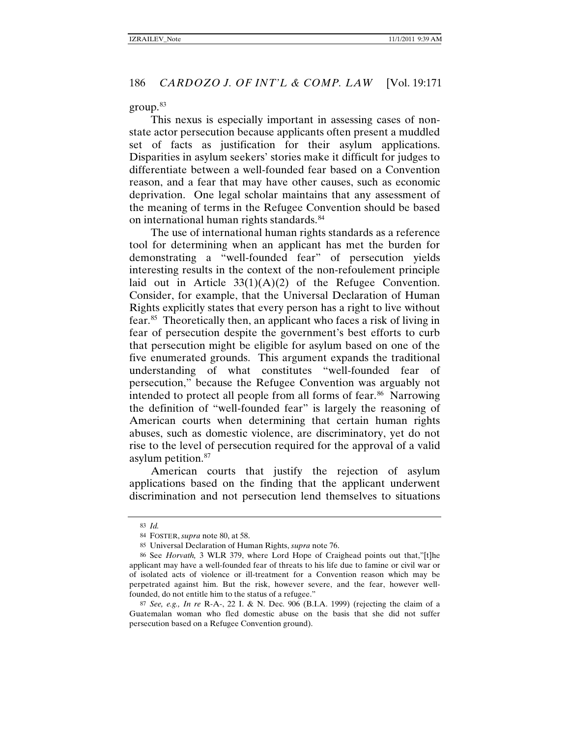group.[83](#page-15-0)

This nexus is especially important in assessing cases of nonstate actor persecution because applicants often present a muddled set of facts as justification for their asylum applications. Disparities in asylum seekers' stories make it difficult for judges to differentiate between a well-founded fear based on a Convention reason, and a fear that may have other causes, such as economic deprivation. One legal scholar maintains that any assessment of the meaning of terms in the Refugee Convention should be based on international human rights standards.<sup>[84](#page-15-1)</sup>

The use of international human rights standards as a reference tool for determining when an applicant has met the burden for demonstrating a "well-founded fear" of persecution yields interesting results in the context of the non-refoulement principle laid out in Article  $33(1)(A)(2)$  of the Refugee Convention. Consider, for example, that the Universal Declaration of Human Rights explicitly states that every person has a right to live without fear.[85](#page-15-2) Theoretically then, an applicant who faces a risk of living in fear of persecution despite the government's best efforts to curb that persecution might be eligible for asylum based on one of the five enumerated grounds. This argument expands the traditional understanding of what constitutes "well-founded fear of persecution," because the Refugee Convention was arguably not intended to protect all people from all forms of fear.<sup>[86](#page-15-3)</sup> Narrowing the definition of "well-founded fear" is largely the reasoning of American courts when determining that certain human rights abuses, such as domestic violence, are discriminatory, yet do not rise to the level of persecution required for the approval of a valid asylum petition.<sup>[87](#page-15-4)</sup>

American courts that justify the rejection of asylum applications based on the finding that the applicant underwent discrimination and not persecution lend themselves to situations

<sup>83</sup> *Id.*

<sup>84</sup> FOSTER, *supra* note [80,](#page-14-6) at 58.

<sup>85</sup> Universal Declaration of Human Rights, *supra* not[e 76.](#page-13-7)

<span id="page-15-3"></span><span id="page-15-2"></span><span id="page-15-1"></span><span id="page-15-0"></span><sup>86</sup> See *Horvath,* 3 WLR 379, where Lord Hope of Craighead points out that,"[t]he applicant may have a well-founded fear of threats to his life due to famine or civil war or of isolated acts of violence or ill-treatment for a Convention reason which may be perpetrated against him. But the risk, however severe, and the fear, however wellfounded, do not entitle him to the status of a refugee."

<span id="page-15-4"></span><sup>87</sup> *See, e.g., In re* R-A-, 22 I. & N. Dec. 906 (B.I.A. 1999) (rejecting the claim of a Guatemalan woman who fled domestic abuse on the basis that she did not suffer persecution based on a Refugee Convention ground).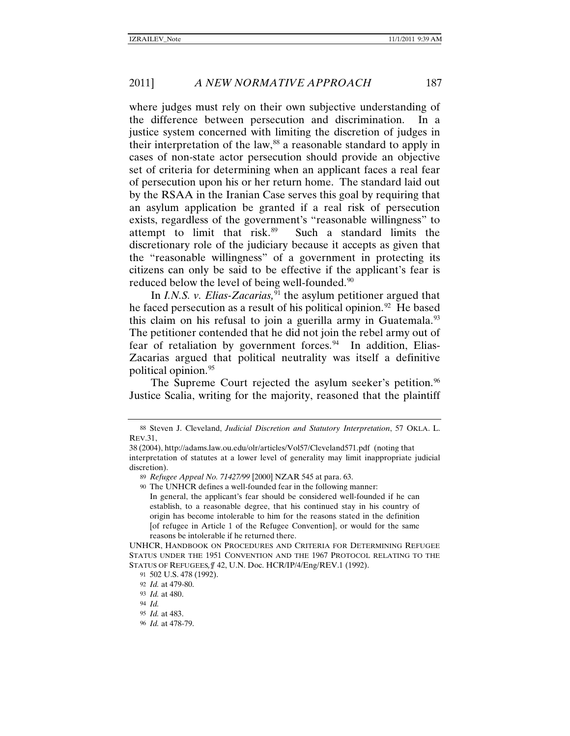where judges must rely on their own subjective understanding of the difference between persecution and discrimination. In a justice system concerned with limiting the discretion of judges in their interpretation of the law, $88$  a reasonable standard to apply in cases of non-state actor persecution should provide an objective set of criteria for determining when an applicant faces a real fear of persecution upon his or her return home. The standard laid out by the RSAA in the Iranian Case serves this goal by requiring that an asylum application be granted if a real risk of persecution exists, regardless of the government's "reasonable willingness" to attempt to limit that risk.[89](#page-16-1) Such a standard limits the discretionary role of the judiciary because it accepts as given that the "reasonable willingness" of a government in protecting its citizens can only be said to be effective if the applicant's fear is reduced below the level of being well-founded.<sup>[90](#page-16-2)</sup>

<span id="page-16-9"></span>In *I.N.S. v. Elias-Zacarias*,<sup>[91](#page-16-3)</sup> the asylum petitioner argued that he faced persecution as a result of his political opinion.<sup>[92](#page-16-4)</sup> He based this claim on his refusal to join a guerilla army in Guatemala.<sup>93</sup> The petitioner contended that he did not join the rebel army out of fear of retaliation by government forces.<sup>[94](#page-16-6)</sup> In addition, Elias-Zacarias argued that political neutrality was itself a definitive political opinion.[95](#page-16-7)

The Supreme Court rejected the asylum seeker's petition.<sup>[96](#page-16-8)</sup> Justice Scalia, writing for the majority, reasoned that the plaintiff

<span id="page-16-0"></span><sup>88</sup> Steven J. Cleveland, *Judicial Discretion and Statutory Interpretation*, 57 OKLA. L. REV.31,

<span id="page-16-2"></span><span id="page-16-1"></span><sup>38</sup> (2004), http://adams.law.ou.edu/olr/articles/Vol57/Cleveland571.pdf (noting that interpretation of statutes at a lower level of generality may limit inappropriate judicial discretion).

<sup>89</sup> *Refugee Appeal No. 71427/99* [2000] NZAR 545 at para. 63.

<sup>90</sup> The UNHCR defines a well-founded fear in the following manner: In general, the applicant's fear should be considered well-founded if he can establish, to a reasonable degree, that his continued stay in his country of origin has become intolerable to him for the reasons stated in the definition [of refugee in Article 1 of the Refugee Convention], or would for the same reasons be intolerable if he returned there.

<span id="page-16-5"></span><span id="page-16-4"></span><span id="page-16-3"></span>UNHCR, HANDBOOK ON PROCEDURES AND CRITERIA FOR DETERMINING REFUGEE STATUS UNDER THE 1951 CONVENTION AND THE 1967 PROTOCOL RELATING TO THE STATUS OF REFUGEES*,¶* 42, U.N. Doc. HCR/IP/4/Eng/REV.1 (1992).

<sup>91</sup> 502 U.S. 478 (1992).

<sup>92</sup> *Id.* at 479-80.

<span id="page-16-6"></span><sup>93</sup> *Id.* at 480.

<sup>94</sup> *Id.*

<sup>95</sup> *Id.* at 483.

<span id="page-16-8"></span><span id="page-16-7"></span><sup>96</sup> *Id.* at 478-79.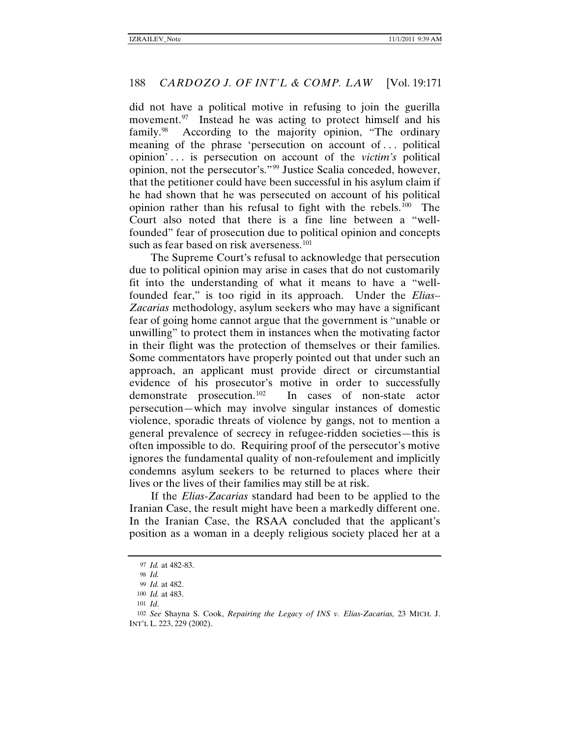did not have a political motive in refusing to join the guerilla movement.<sup>[97](#page-17-0)</sup> Instead he was acting to protect himself and his family.<sup>98</sup> According to the majority opinion, "The ordinary meaning of the phrase 'persecution on account of . . . political opinion' . . . is persecution on account of the *victim's* political opinion, not the persecutor's."[99](#page-17-2) Justice Scalia conceded, however, that the petitioner could have been successful in his asylum claim if he had shown that he was persecuted on account of his political opinion rather than his refusal to fight with the rebels.[100](#page-17-3) The Court also noted that there is a fine line between a "wellfounded" fear of prosecution due to political opinion and concepts such as fear based on risk averseness.<sup>[101](#page-17-4)</sup>

The Supreme Court's refusal to acknowledge that persecution due to political opinion may arise in cases that do not customarily fit into the understanding of what it means to have a "wellfounded fear," is too rigid in its approach. Under the *Elias– Zacarias* methodology, asylum seekers who may have a significant fear of going home cannot argue that the government is "unable or unwilling" to protect them in instances when the motivating factor in their flight was the protection of themselves or their families. Some commentators have properly pointed out that under such an approach, an applicant must provide direct or circumstantial evidence of his prosecutor's motive in order to successfully demonstrate prosecution.<sup>[102](#page-17-5)</sup> In cases of non-state actor persecution—which may involve singular instances of domestic violence, sporadic threats of violence by gangs, not to mention a general prevalence of secrecy in refugee-ridden societies—this is often impossible to do. Requiring proof of the persecutor's motive ignores the fundamental quality of non-refoulement and implicitly condemns asylum seekers to be returned to places where their lives or the lives of their families may still be at risk.

If the *Elias-Zacarias* standard had been to be applied to the Iranian Case, the result might have been a markedly different one. In the Iranian Case, the RSAA concluded that the applicant's position as a woman in a deeply religious society placed her at a

<sup>97</sup> *Id.* at 482-83.

<sup>98</sup> *Id.*

<sup>99</sup> *Id.* at 482.

<sup>100</sup> *Id.* at 483.

<sup>101</sup> *Id*.

<span id="page-17-5"></span><span id="page-17-4"></span><span id="page-17-3"></span><span id="page-17-2"></span><span id="page-17-1"></span><span id="page-17-0"></span><sup>102</sup> *See* Shayna S. Cook, *Repairing the Legacy of INS v. Elias-Zacarias,* 23 MICH. J. INT'L L. 223, 229 (2002).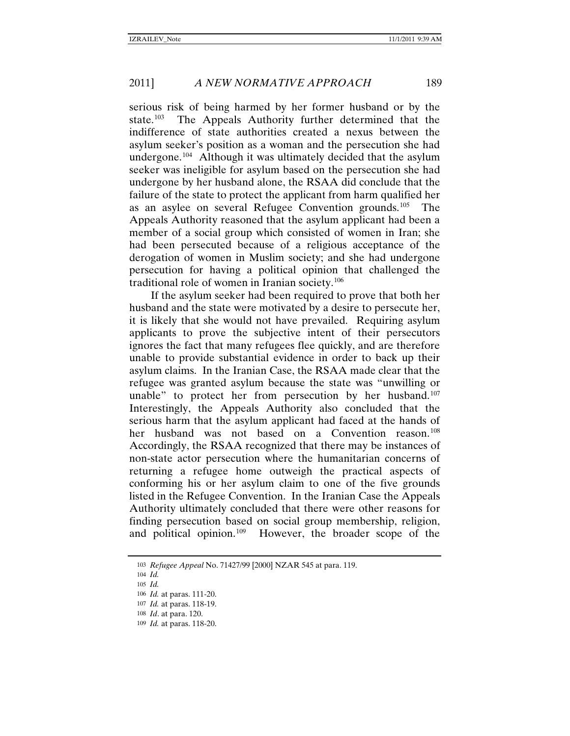serious risk of being harmed by her former husband or by the state.<sup>[103](#page-18-0)</sup> The Appeals Authority further determined that the indifference of state authorities created a nexus between the asylum seeker's position as a woman and the persecution she had undergone.[104](#page-18-1) Although it was ultimately decided that the asylum seeker was ineligible for asylum based on the persecution she had undergone by her husband alone, the RSAA did conclude that the failure of the state to protect the applicant from harm qualified her as an asylee on several Refugee Convention grounds.[105](#page-18-2) The Appeals Authority reasoned that the asylum applicant had been a member of a social group which consisted of women in Iran; she had been persecuted because of a religious acceptance of the derogation of women in Muslim society; and she had undergone persecution for having a political opinion that challenged the traditional role of women in Iranian society.[106](#page-18-3)

If the asylum seeker had been required to prove that both her husband and the state were motivated by a desire to persecute her, it is likely that she would not have prevailed. Requiring asylum applicants to prove the subjective intent of their persecutors ignores the fact that many refugees flee quickly, and are therefore unable to provide substantial evidence in order to back up their asylum claims. In the Iranian Case, the RSAA made clear that the refugee was granted asylum because the state was "unwilling or unable" to protect her from persecution by her husband.<sup>107</sup> Interestingly, the Appeals Authority also concluded that the serious harm that the asylum applicant had faced at the hands of her husband was not based on a Convention reason.<sup>108</sup> Accordingly, the RSAA recognized that there may be instances of non-state actor persecution where the humanitarian concerns of returning a refugee home outweigh the practical aspects of conforming his or her asylum claim to one of the five grounds listed in the Refugee Convention. In the Iranian Case the Appeals Authority ultimately concluded that there were other reasons for finding persecution based on social group membership, religion, and political opinion.[109](#page-18-6) However, the broader scope of the

<span id="page-18-1"></span><span id="page-18-0"></span><sup>103</sup> *Refugee Appeal* No. 71427/99 [2000] NZAR 545 at para. 119.

<sup>104</sup> *Id.*

<span id="page-18-2"></span><sup>105</sup> *Id.*

<span id="page-18-3"></span><sup>106</sup> *Id.* at paras. 111-20.

<span id="page-18-4"></span><sup>107</sup> *Id.* at paras. 118-19.

<span id="page-18-5"></span><sup>108</sup> *Id*. at para. 120.

<span id="page-18-6"></span><sup>109</sup> *Id.* at paras. 118-20.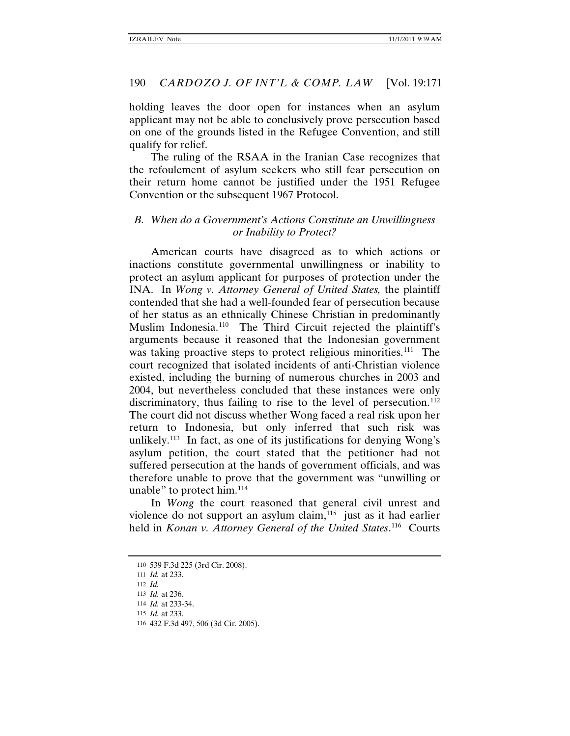holding leaves the door open for instances when an asylum applicant may not be able to conclusively prove persecution based on one of the grounds listed in the Refugee Convention, and still qualify for relief.

The ruling of the RSAA in the Iranian Case recognizes that the refoulement of asylum seekers who still fear persecution on their return home cannot be justified under the 1951 Refugee Convention or the subsequent 1967 Protocol.

#### *B. When do a Government's Actions Constitute an Unwillingness or Inability to Protect?*

American courts have disagreed as to which actions or inactions constitute governmental unwillingness or inability to protect an asylum applicant for purposes of protection under the INA. In *Wong v. Attorney General of United States,* the plaintiff contended that she had a well-founded fear of persecution because of her status as an ethnically Chinese Christian in predominantly Muslim Indonesia.[110](#page-19-0) The Third Circuit rejected the plaintiff's arguments because it reasoned that the Indonesian government was taking proactive steps to protect religious minorities.<sup>[111](#page-19-1)</sup> The court recognized that isolated incidents of anti-Christian violence existed, including the burning of numerous churches in 2003 and 2004, but nevertheless concluded that these instances were only discriminatory, thus failing to rise to the level of persecution.<sup>112</sup> The court did not discuss whether Wong faced a real risk upon her return to Indonesia, but only inferred that such risk was unlikely.<sup>[113](#page-19-3)</sup> In fact, as one of its justifications for denying Wong's asylum petition, the court stated that the petitioner had not suffered persecution at the hands of government officials, and was therefore unable to prove that the government was "unwilling or unable" to protect him.<sup>[114](#page-19-4)</sup>

In *Wong* the court reasoned that general civil unrest and violence do not support an asylum claim, $115$  just as it had earlier held in *Konan v. Attorney General of the United States*.<sup>[116](#page-19-6)</sup> Courts

<sup>110</sup> 539 F.3d 225 (3rd Cir. 2008).

<span id="page-19-1"></span><span id="page-19-0"></span><sup>111</sup> *Id.* at 233.

<span id="page-19-2"></span><sup>112</sup> *Id.*

<span id="page-19-3"></span><sup>113</sup> *Id.* at 236.

<span id="page-19-5"></span><span id="page-19-4"></span><sup>114</sup> *Id.* at 233-34.

<sup>115</sup> *Id.* at 233.

<span id="page-19-6"></span><sup>116</sup> 432 F.3d 497, 506 (3d Cir. 2005).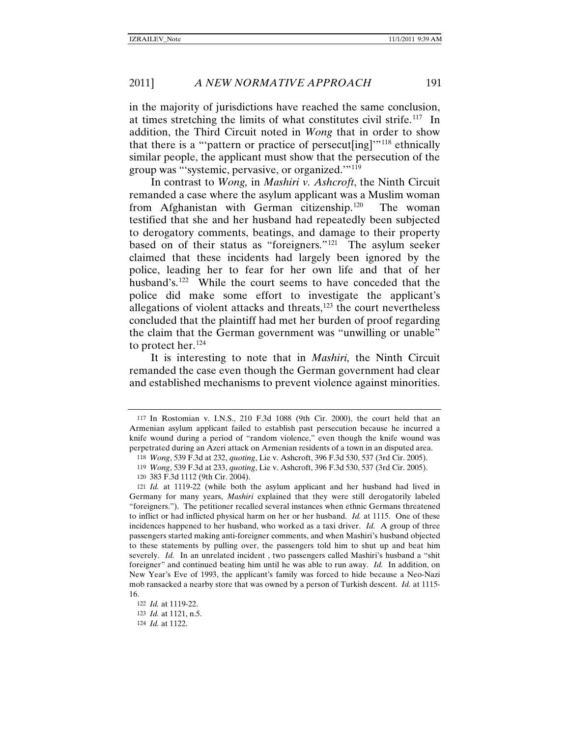in the majority of jurisdictions have reached the same conclusion, at times stretching the limits of what constitutes civil strife.<sup>117</sup> In addition, the Third Circuit noted in *Wong* that in order to show that there is a "'pattern or practice of persecut[ing]'"[118](#page-20-1) ethnically similar people, the applicant must show that the persecution of the group was "'systemic, pervasive, or organized.'"[119](#page-20-2)

In contrast to *Wong,* in *Mashiri v. Ashcroft*, the Ninth Circuit remanded a case where the asylum applicant was a Muslim woman from Afghanistan with German citizenship.[120](#page-20-3) The woman testified that she and her husband had repeatedly been subjected to derogatory comments, beatings, and damage to their property based on of their status as "foreigners."[121](#page-20-4) The asylum seeker claimed that these incidents had largely been ignored by the police, leading her to fear for her own life and that of her husband's.<sup>122</sup> While the court seems to have conceded that the police did make some effort to investigate the applicant's allegations of violent attacks and threats,<sup>[123](#page-20-6)</sup> the court nevertheless concluded that the plaintiff had met her burden of proof regarding the claim that the German government was "unwilling or unable" to protect her.<sup>[124](#page-20-7)</sup>

It is interesting to note that in *Mashiri,* the Ninth Circuit remanded the case even though the German government had clear and established mechanisms to prevent violence against minorities.

120 383 F.3d 1112 (9th Cir. 2004).

<span id="page-20-0"></span><sup>117</sup> In Rostomian v. I.N.S., 210 F.3d 1088 (9th Cir. 2000), the court held that an Armenian asylum applicant failed to establish past persecution because he incurred a knife wound during a period of "random violence," even though the knife wound was perpetrated during an Azeri attack on Armenian residents of a town in an disputed area.

<sup>118</sup> *Wong*, 539 F.3d at 232, *quoting*, Lie v. Ashcroft, 396 F.3d 530, 537 (3rd Cir. 2005).

<sup>119</sup> *Wong*, 539 F.3d at 233, *quoting*, Lie v. Ashcroft, 396 F.3d 530, 537 (3rd Cir. 2005).

<span id="page-20-4"></span><span id="page-20-3"></span><span id="page-20-2"></span><span id="page-20-1"></span><sup>121</sup> *Id.* at 1119-22 (while both the asylum applicant and her husband had lived in Germany for many years, *Mashiri* explained that they were still derogatorily labeled "foreigners."). The petitioner recalled several instances when ethnic Germans threatened to inflict or had inflicted physical harm on her or her husband. *Id.* at 1115. One of these incidences happened to her husband, who worked as a taxi driver. *Id.* A group of three passengers started making anti-foreigner comments, and when Mashiri's husband objected to these statements by pulling over, the passengers told him to shut up and beat him severely. *Id.* In an unrelated incident , two passengers called Mashiri's husband a "shit foreigner" and continued beating him until he was able to run away. *Id.* In addition, on New Year's Eve of 1993, the applicant's family was forced to hide because a Neo-Nazi mob ransacked a nearby store that was owned by a person of Turkish descent. *Id.* at 1115- 16.

<sup>122</sup> *Id.* at 1119-22.

<span id="page-20-7"></span><span id="page-20-6"></span><span id="page-20-5"></span><sup>123</sup> *Id.* at 1121, n.5.

<sup>124</sup> *Id.* at 1122.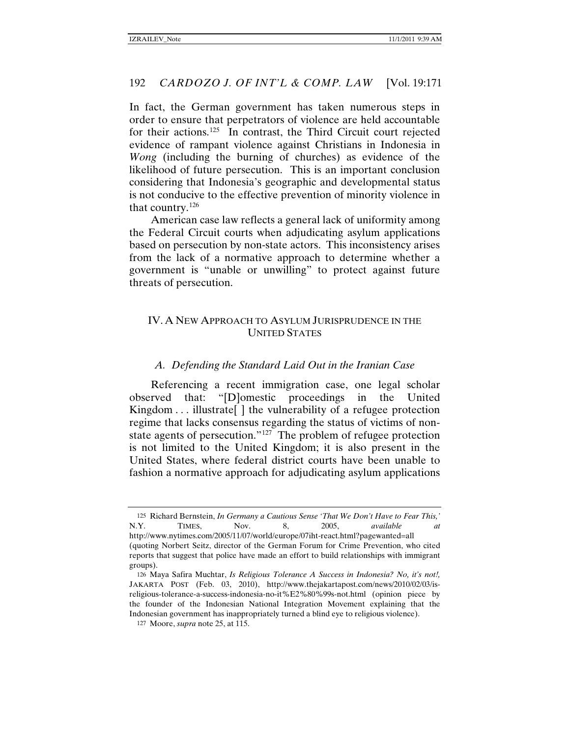In fact, the German government has taken numerous steps in order to ensure that perpetrators of violence are held accountable for their actions.[125](#page-21-0) In contrast, the Third Circuit court rejected evidence of rampant violence against Christians in Indonesia in *Wong* (including the burning of churches) as evidence of the likelihood of future persecution. This is an important conclusion considering that Indonesia's geographic and developmental status is not conducive to the effective prevention of minority violence in that country.[126](#page-21-1)

American case law reflects a general lack of uniformity among the Federal Circuit courts when adjudicating asylum applications based on persecution by non-state actors. This inconsistency arises from the lack of a normative approach to determine whether a government is "unable or unwilling" to protect against future threats of persecution.

# IV. A NEW APPROACH TO ASYLUM JURISPRUDENCE IN THE UNITED STATES

#### *A. Defending the Standard Laid Out in the Iranian Case*

Referencing a recent immigration case, one legal scholar observed that: "[D]omestic proceedings in the United Kingdom . . . illustrate | the vulnerability of a refugee protection regime that lacks consensus regarding the status of victims of non-state agents of persecution."<sup>[127](#page-21-2)</sup> The problem of refugee protection is not limited to the United Kingdom; it is also present in the United States, where federal district courts have been unable to fashion a normative approach for adjudicating asylum applications

<span id="page-21-0"></span><sup>125</sup> Richard Bernstein, *In Germany a Cautious Sense 'That We Don't Have to Fear This,'*  N.Y. TIMES, Nov. 8, 2005, *available at* http://www.nytimes.com/2005/11/07/world/europe/07iht-react.html?pagewanted=all (quoting Norbert Seitz, director of the German Forum for Crime Prevention, who cited reports that suggest that police have made an effort to build relationships with immigrant groups).

<span id="page-21-1"></span><sup>126</sup> Maya Safira Muchtar, *Is Religious Tolerance A Success in Indonesia? No, it's not!,* JAKARTA POST (Feb. 03, 2010), http://www.thejakartapost.com/news/2010/02/03/isreligious-tolerance-a-success-indonesia-no-it%E2%80%99s-not.html (opinion piece by the founder of the Indonesian National Integration Movement explaining that the Indonesian government has inappropriately turned a blind eye to religious violence).

<span id="page-21-2"></span><sup>127</sup> Moore, *supra* note 25, at 115.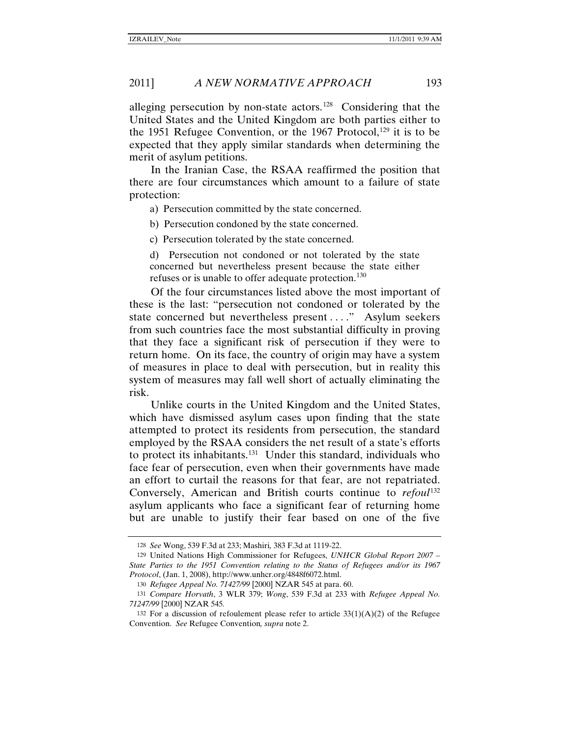alleging persecution by non-state actors.[128](#page-22-0) Considering that the United States and the United Kingdom are both parties either to the 1951 Refugee Convention, or the 1967 Protocol,<sup>[129](#page-22-1)</sup> it is to be expected that they apply similar standards when determining the merit of asylum petitions.

In the Iranian Case, the RSAA reaffirmed the position that there are four circumstances which amount to a failure of state protection:

a) Persecution committed by the state concerned.

b) Persecution condoned by the state concerned.

c) Persecution tolerated by the state concerned.

d) Persecution not condoned or not tolerated by the state concerned but nevertheless present because the state either refuses or is unable to offer adequate protection.<sup>[130](#page-22-2)</sup>

Of the four circumstances listed above the most important of these is the last: "persecution not condoned or tolerated by the state concerned but nevertheless present . . . ." Asylum seekers from such countries face the most substantial difficulty in proving that they face a significant risk of persecution if they were to return home. On its face, the country of origin may have a system of measures in place to deal with persecution, but in reality this system of measures may fall well short of actually eliminating the risk.

Unlike courts in the United Kingdom and the United States, which have dismissed asylum cases upon finding that the state attempted to protect its residents from persecution, the standard employed by the RSAA considers the net result of a state's efforts to protect its inhabitants.<sup>[131](#page-22-3)</sup> Under this standard, individuals who face fear of persecution, even when their governments have made an effort to curtail the reasons for that fear, are not repatriated. Conversely, American and British courts continue to *refoul*<sup>[132](#page-22-4)</sup> asylum applicants who face a significant fear of returning home but are unable to justify their fear based on one of the five

<sup>128</sup> *See* Wong, 539 F.3d at 233; Mashiri*,* 383 F.3d at 1119-22.

<span id="page-22-1"></span><span id="page-22-0"></span><sup>129</sup> United Nations High Commissioner for Refugees, *UNHCR Global Report 2007 – State Parties to the 1951 Convention relating to the Status of Refugees and/or its 1967 Protocol*, (Jan. 1, 2008), http://www.unhcr.org/4848f6072.html.

<sup>130</sup> *Refugee Appeal No. 71427/99* [2000] NZAR 545 at para. 60.

<span id="page-22-3"></span><span id="page-22-2"></span><sup>131</sup> *Compare Horvath*, 3 WLR 379; *Wong*, 539 F.3d at 233 with *Refugee Appeal No. 71247/99* [2000] NZAR 545*.*

<span id="page-22-4"></span><sup>132</sup> For a discussion of refoulement please refer to article  $33(1)(A)(2)$  of the Refugee Convention. *See* Refugee Convention*, supra* not[e 2.](#page-1-6)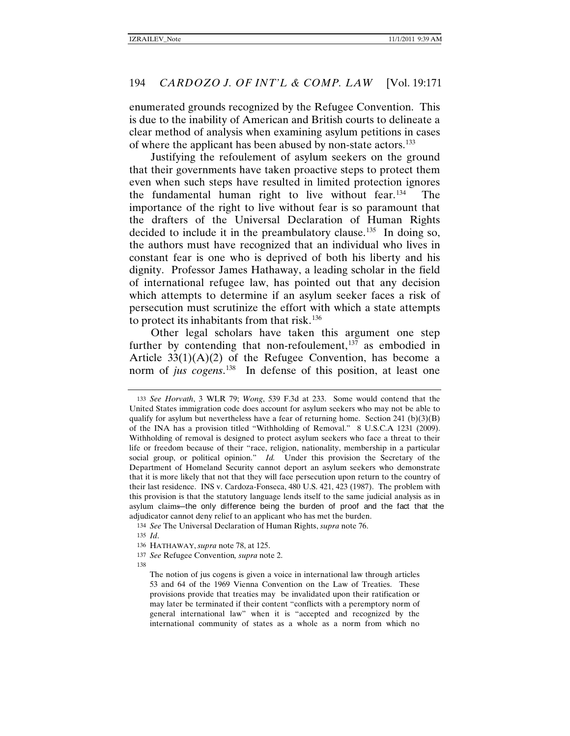enumerated grounds recognized by the Refugee Convention. This is due to the inability of American and British courts to delineate a clear method of analysis when examining asylum petitions in cases of where the applicant has been abused by non-state actors.<sup>[133](#page-23-0)</sup>

Justifying the refoulement of asylum seekers on the ground that their governments have taken proactive steps to protect them even when such steps have resulted in limited protection ignores the fundamental human right to live without fear.<sup>[134](#page-23-1)</sup> The importance of the right to live without fear is so paramount that the drafters of the Universal Declaration of Human Rights decided to include it in the preambulatory clause.<sup>[135](#page-23-2)</sup> In doing so, the authors must have recognized that an individual who lives in constant fear is one who is deprived of both his liberty and his dignity. Professor James Hathaway, a leading scholar in the field of international refugee law, has pointed out that any decision which attempts to determine if an asylum seeker faces a risk of persecution must scrutinize the effort with which a state attempts to protect its inhabitants from that risk.<sup>[136](#page-23-3)</sup>

Other legal scholars have taken this argument one step further by contending that non-refoulement, $137$  as embodied in Article  $33(1)(A)(2)$  of the Refugee Convention, has become a norm of *jus cogens*. [138](#page-23-5) In defense of this position, at least one

134 *See* The Universal Declaration of Human Rights, *supra* not[e 76.](#page-13-7)

<span id="page-23-3"></span><span id="page-23-2"></span><span id="page-23-1"></span>135 *Id*.

<span id="page-23-5"></span><span id="page-23-4"></span>138

<span id="page-23-0"></span><sup>133</sup> *See Horvath*, 3 WLR 79; *Wong*, 539 F.3d at 233. Some would contend that the United States immigration code does account for asylum seekers who may not be able to qualify for asylum but nevertheless have a fear of returning home. Section 241 (b)(3)(B) of the INA has a provision titled "Withholding of Removal." 8 U.S.C.A 1231 (2009). Withholding of removal is designed to protect asylum seekers who face a threat to their life or freedom because of their "race, religion, nationality, membership in a particular social group, or political opinion." *Id.* Under this provision the Secretary of the Department of Homeland Security cannot deport an asylum seekers who demonstrate that it is more likely that not that they will face persecution upon return to the country of their last residence. INS v. Cardoza-Fonseca, 480 U.S. 421, 423 (1987). The problem with this provision is that the statutory language lends itself to the same judicial analysis as in asylum claims―the only difference being the burden of proof and the fact that the adjudicator cannot deny relief to an applicant who has met the burden.

<sup>136</sup> HATHAWAY, *supra* not[e 78,](#page-14-7) at 125.

<sup>137</sup> *See* Refugee Convention*, supra* not[e 2.](#page-1-6)

The notion of jus cogens is given a voice in international law through articles 53 and 64 of the 1969 Vienna Convention on the Law of Treaties. These provisions provide that treaties may be invalidated upon their ratification or may later be terminated if their content "conflicts with a peremptory norm of general international law" when it is "accepted and recognized by the international community of states as a whole as a norm from which no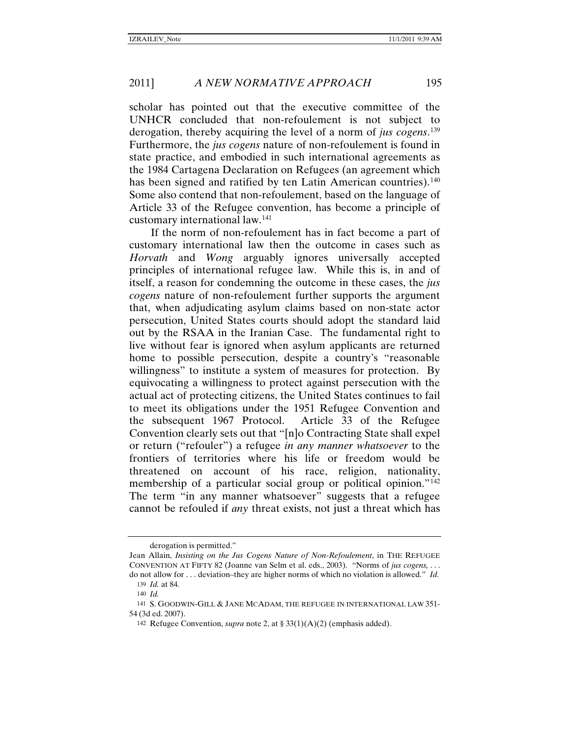scholar has pointed out that the executive committee of the UNHCR concluded that non-refoulement is not subject to derogation, thereby acquiring the level of a norm of *jus cogens*. [139](#page-24-0)  Furthermore, the *jus cogens* nature of non-refoulement is found in state practice, and embodied in such international agreements as the 1984 Cartagena Declaration on Refugees (an agreement which has been signed and ratified by ten Latin American countries).<sup>140</sup> Some also contend that non-refoulement, based on the language of Article 33 of the Refugee convention, has become a principle of customary international law.[141](#page-24-2)

If the norm of non-refoulement has in fact become a part of customary international law then the outcome in cases such as *Horvath* and *Wong* arguably ignores universally accepted principles of international refugee law. While this is, in and of itself, a reason for condemning the outcome in these cases, the *jus cogens* nature of non-refoulement further supports the argument that, when adjudicating asylum claims based on non-state actor persecution, United States courts should adopt the standard laid out by the RSAA in the Iranian Case. The fundamental right to live without fear is ignored when asylum applicants are returned home to possible persecution, despite a country's "reasonable willingness" to institute a system of measures for protection. By equivocating a willingness to protect against persecution with the actual act of protecting citizens, the United States continues to fail to meet its obligations under the 1951 Refugee Convention and the subsequent 1967 Protocol. Article 33 of the Refugee Convention clearly sets out that "[n]o Contracting State shall expel or return ("refouler") a refugee *in any manner whatsoever* to the frontiers of territories where his life or freedom would be threatened on account of his race, religion, nationality, membership of a particular social group or political opinion."<sup>[142](#page-24-3)</sup> The term "in any manner whatsoever" suggests that a refugee cannot be refouled if *any* threat exists, not just a threat which has

derogation is permitted."

Jean Allain, *Insisting on the Jus Cogens Nature of Non-Refoulement*, in THE REFUGEE CONVENTION AT FIFTY 82 (Joanne van Selm et al. eds., 2003). "Norms of *jus cogens,* . . . do not allow for . . . deviation–they are higher norms of which no violation is allowed." *Id.*

<sup>139</sup> *Id.* at 84*.*

<sup>140</sup> *Id.*

<span id="page-24-3"></span><span id="page-24-2"></span><span id="page-24-1"></span><span id="page-24-0"></span><sup>141</sup> S. GOODWIN-GILL & JANE MCADAM, THE REFUGEE IN INTERNATIONAL LAW 351- 54 (3d ed. 2007).

<sup>142</sup> Refugee Convention, *supra* note [2,](#page-1-6) at § 33(1)(A)(2) (emphasis added).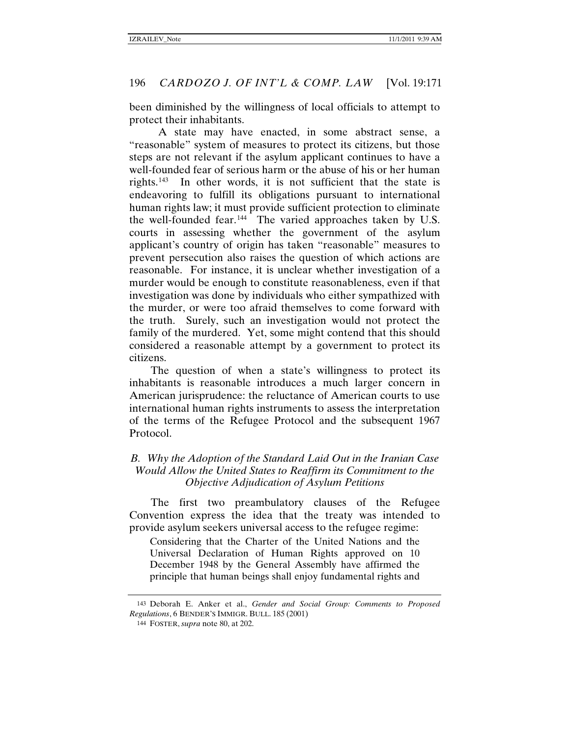been diminished by the willingness of local officials to attempt to protect their inhabitants.

<span id="page-25-2"></span>A state may have enacted, in some abstract sense, a "reasonable" system of measures to protect its citizens, but those steps are not relevant if the asylum applicant continues to have a well-founded fear of serious harm or the abuse of his or her human rights.[143](#page-25-0) In other words, it is not sufficient that the state is endeavoring to fulfill its obligations pursuant to international human rights law; it must provide sufficient protection to eliminate the well-founded fear.<sup>[144](#page-25-1)</sup> The varied approaches taken by U.S. courts in assessing whether the government of the asylum applicant's country of origin has taken "reasonable" measures to prevent persecution also raises the question of which actions are reasonable. For instance, it is unclear whether investigation of a murder would be enough to constitute reasonableness, even if that investigation was done by individuals who either sympathized with the murder, or were too afraid themselves to come forward with the truth. Surely, such an investigation would not protect the family of the murdered. Yet, some might contend that this should considered a reasonable attempt by a government to protect its citizens.

The question of when a state's willingness to protect its inhabitants is reasonable introduces a much larger concern in American jurisprudence: the reluctance of American courts to use international human rights instruments to assess the interpretation of the terms of the Refugee Protocol and the subsequent 1967 Protocol.

# *B. Why the Adoption of the Standard Laid Out in the Iranian Case Would Allow the United States to Reaffirm its Commitment to the Objective Adjudication of Asylum Petitions*

The first two preambulatory clauses of the Refugee Convention express the idea that the treaty was intended to provide asylum seekers universal access to the refugee regime:

Considering that the Charter of the United Nations and the Universal Declaration of Human Rights approved on 10 December 1948 by the General Assembly have affirmed the principle that human beings shall enjoy fundamental rights and

<span id="page-25-1"></span><span id="page-25-0"></span><sup>143</sup> Deborah E. Anker et al., *Gender and Social Group: Comments to Proposed Regulations*, 6 BENDER'S IMMIGR. BULL. 185 (2001)

<sup>144</sup> FOSTER, *supra* note [80,](#page-14-6) at 202.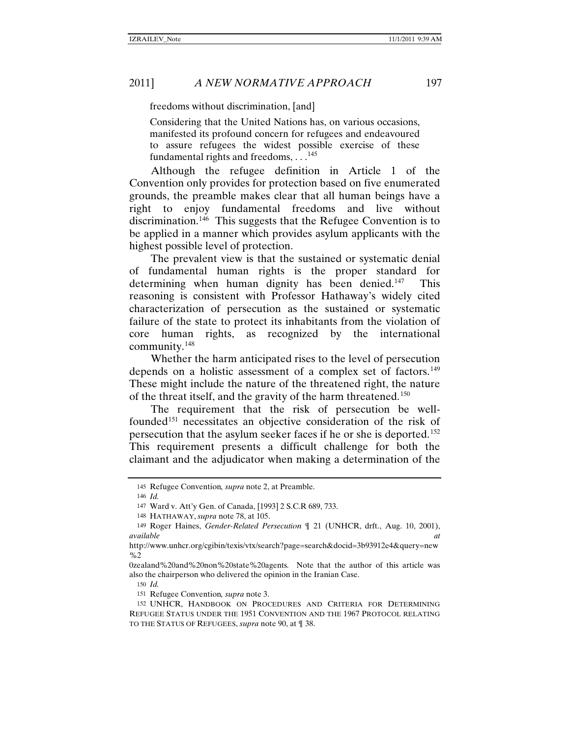freedoms without discrimination, [and]

Considering that the United Nations has, on various occasions, manifested its profound concern for refugees and endeavoured to assure refugees the widest possible exercise of these fundamental rights and freedoms, . . .<sup>[145](#page-26-0)</sup>

Although the refugee definition in Article 1 of the Convention only provides for protection based on five enumerated grounds, the preamble makes clear that all human beings have a right to enjoy fundamental freedoms and live without discrimination.<sup>[146](#page-26-1)</sup> This suggests that the Refugee Convention is to be applied in a manner which provides asylum applicants with the highest possible level of protection.

The prevalent view is that the sustained or systematic denial of fundamental human rights is the proper standard for determining when human dignity has been denied.<sup>147</sup> This reasoning is consistent with Professor Hathaway's widely cited characterization of persecution as the sustained or systematic failure of the state to protect its inhabitants from the violation of core human rights, as recognized by the international community.[148](#page-26-3)

Whether the harm anticipated rises to the level of persecution depends on a holistic assessment of a complex set of factors.<sup>[149](#page-26-4)</sup> These might include the nature of the threatened right, the nature of the threat itself, and the gravity of the harm threatened.[150](#page-26-5)

The requirement that the risk of persecution be well-founded<sup>[151](#page-26-6)</sup> necessitates an objective consideration of the risk of persecution that the asylum seeker faces if he or she is deported.[152](#page-26-7) This requirement presents a difficult challenge for both the claimant and the adjudicator when making a determination of the

150 *Id.*

<sup>145</sup> Refugee Convention*, supra* note [2,](#page-1-6) at Preamble.

<sup>146</sup> *Id.*

<sup>147</sup> Ward v. Att'y Gen. of Canada, [1993] 2 S.C.R 689, 733.

<sup>148</sup> HATHAWAY, *supra* not[e 78,](#page-14-7) at 105.

<span id="page-26-4"></span><span id="page-26-3"></span><span id="page-26-2"></span><span id="page-26-1"></span><span id="page-26-0"></span><sup>149</sup> Roger Haines, *Gender-Related Persecution* ¶ 21 (UNHCR, drft., Aug. 10, 2001), *available at*

http://www.unhcr.org/cgibin/texis/vtx/search?page=search&docid=3b93912e4&query=new %2

<span id="page-26-5"></span><sup>0</sup>zealand%20and%20non%20state%20agents*.* Note that the author of this article was also the chairperson who delivered the opinion in the Iranian Case.

<sup>151</sup> Refugee Convention*, supra* note [3.](#page-1-8)

<span id="page-26-7"></span><span id="page-26-6"></span><sup>152</sup> UNHCR, HANDBOOK ON PROCEDURES AND CRITERIA FOR DETERMINING REFUGEE STATUS UNDER THE 1951 CONVENTION AND THE 1967 PROTOCOL RELATING TO THE STATUS OF REFUGEES, *supra* note [90,](#page-16-9) at ¶ 38.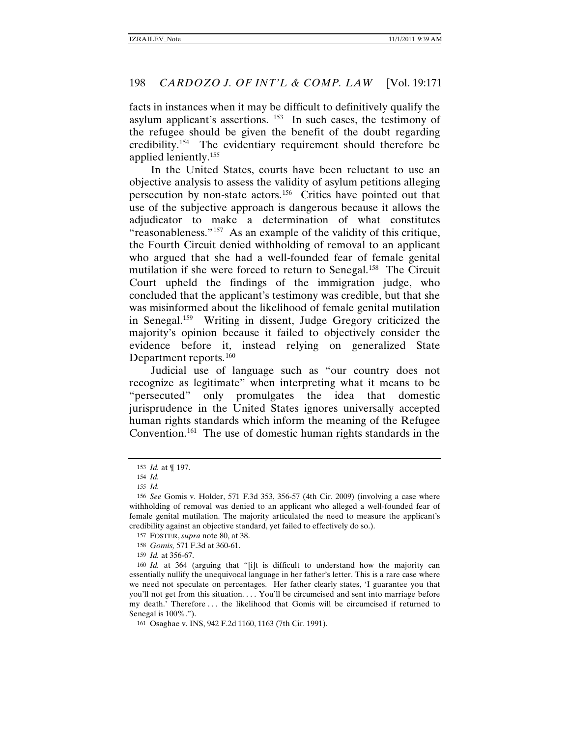facts in instances when it may be difficult to definitively qualify the asylum applicant's assertions.  $153$  In such cases, the testimony of the refugee should be given the benefit of the doubt regarding credibility.[154](#page-27-1) The evidentiary requirement should therefore be applied leniently.[155](#page-27-2)

In the United States, courts have been reluctant to use an objective analysis to assess the validity of asylum petitions alleging persecution by non-state actors.[156](#page-27-3) Critics have pointed out that use of the subjective approach is dangerous because it allows the adjudicator to make a determination of what constitutes "reasonableness."[157](#page-27-4) As an example of the validity of this critique, the Fourth Circuit denied withholding of removal to an applicant who argued that she had a well-founded fear of female genital mutilation if she were forced to return to Senegal.<sup>158</sup> The Circuit Court upheld the findings of the immigration judge, who concluded that the applicant's testimony was credible, but that she was misinformed about the likelihood of female genital mutilation in Senegal.[159](#page-27-6) Writing in dissent, Judge Gregory criticized the majority's opinion because it failed to objectively consider the evidence before it, instead relying on generalized State Department reports.<sup>[160](#page-27-7)</sup>

Judicial use of language such as "our country does not recognize as legitimate" when interpreting what it means to be "persecuted" only promulgates the idea that domestic jurisprudence in the United States ignores universally accepted human rights standards which inform the meaning of the Refugee Convention.<sup>[161](#page-27-8)</sup> The use of domestic human rights standards in the

<sup>153</sup> *Id.* at ¶ 197.

<sup>154</sup> *Id.*

<sup>155</sup> *Id.*

<span id="page-27-3"></span><span id="page-27-2"></span><span id="page-27-1"></span><span id="page-27-0"></span><sup>156</sup> *See* Gomis v. Holder, 571 F.3d 353, 356-57 (4th Cir. 2009) (involving a case where withholding of removal was denied to an applicant who alleged a well-founded fear of female genital mutilation. The majority articulated the need to measure the applicant's credibility against an objective standard, yet failed to effectively do so.).

<sup>157</sup> FOSTER, *supra* note [80,](#page-14-6) at 38.

<sup>158</sup> *Gomis,* 571 F.3d at 360-61.

<sup>159</sup> *Id.* at 356-67.

<span id="page-27-7"></span><span id="page-27-6"></span><span id="page-27-5"></span><span id="page-27-4"></span><sup>160</sup> *Id.* at 364 (arguing that "[i]t is difficult to understand how the majority can essentially nullify the unequivocal language in her father's letter. This is a rare case where we need not speculate on percentages. Her father clearly states, 'I guarantee you that you'll not get from this situation. . . . You'll be circumcised and sent into marriage before my death.' Therefore . . . the likelihood that Gomis will be circumcised if returned to Senegal is  $100\%$ .").

<span id="page-27-8"></span><sup>161</sup> Osaghae v. INS, 942 F.2d 1160, 1163 (7th Cir. 1991).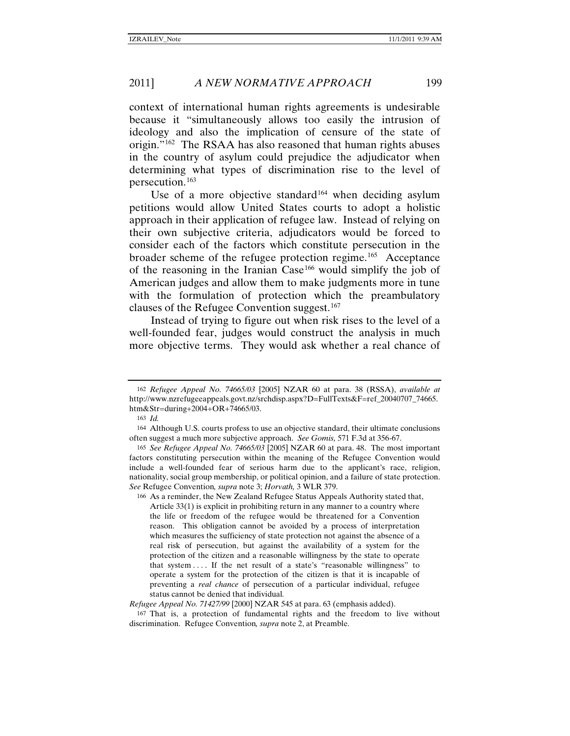context of international human rights agreements is undesirable because it "simultaneously allows too easily the intrusion of ideology and also the implication of censure of the state of origin."[162](#page-28-0) The RSAA has also reasoned that human rights abuses in the country of asylum could prejudice the adjudicator when determining what types of discrimination rise to the level of persecution.[163](#page-28-1)

Use of a more objective standard<sup>[164](#page-28-2)</sup> when deciding asylum petitions would allow United States courts to adopt a holistic approach in their application of refugee law. Instead of relying on their own subjective criteria, adjudicators would be forced to consider each of the factors which constitute persecution in the broader scheme of the refugee protection regime.<sup>[165](#page-28-3)</sup> Acceptance of the reasoning in the Iranian Case<sup>[166](#page-28-4)</sup> would simplify the job of American judges and allow them to make judgments more in tune with the formulation of protection which the preambulatory clauses of the Refugee Convention suggest.[167](#page-28-5)

Instead of trying to figure out when risk rises to the level of a well-founded fear, judges would construct the analysis in much more objective terms. They would ask whether a real chance of

<span id="page-28-0"></span><sup>162</sup> *Refugee Appeal No. 74665/03* [2005] NZAR 60 at para. 38 (RSSA), *available at* http://www.nzrefugeeappeals.govt.nz/srchdisp.aspx?D=FullTexts&F=ref\_20040707\_74665. htm&Str=during+2004+OR+74665/03.

<sup>163</sup> *Id.*

<span id="page-28-2"></span><span id="page-28-1"></span><sup>164</sup> Although U.S. courts profess to use an objective standard, their ultimate conclusions often suggest a much more subjective approach. *See Gomis,* 571 F.3d at 356-67.

<span id="page-28-3"></span><sup>165</sup> *See Refugee Appeal No. 74665/03* [2005] NZAR 60 at para. 48. The most important factors constituting persecution within the meaning of the Refugee Convention would include a well-founded fear of serious harm due to the applicant's race, religion, nationality, social group membership, or political opinion, and a failure of state protection. *See* Refugee Convention*, supra* note 3; *Horvath,* 3 WLR 379.

<span id="page-28-4"></span><sup>166</sup> As a reminder, the New Zealand Refugee Status Appeals Authority stated that, Article 33(1) is explicit in prohibiting return in any manner to a country where the life or freedom of the refugee would be threatened for a Convention reason. This obligation cannot be avoided by a process of interpretation which measures the sufficiency of state protection not against the absence of a real risk of persecution, but against the availability of a system for the protection of the citizen and a reasonable willingness by the state to operate that system . . . . If the net result of a state's "reasonable willingness" to operate a system for the protection of the citizen is that it is incapable of preventing a *real chance* of persecution of a particular individual, refugee status cannot be denied that individual*.*

*Refugee Appeal No. 71427/99* [2000] NZAR 545 at para. 63 (emphasis added).

<span id="page-28-5"></span><sup>167</sup> That is, a protection of fundamental rights and the freedom to live without discrimination. Refugee Convention*, supra* not[e 2,](#page-1-6) at Preamble.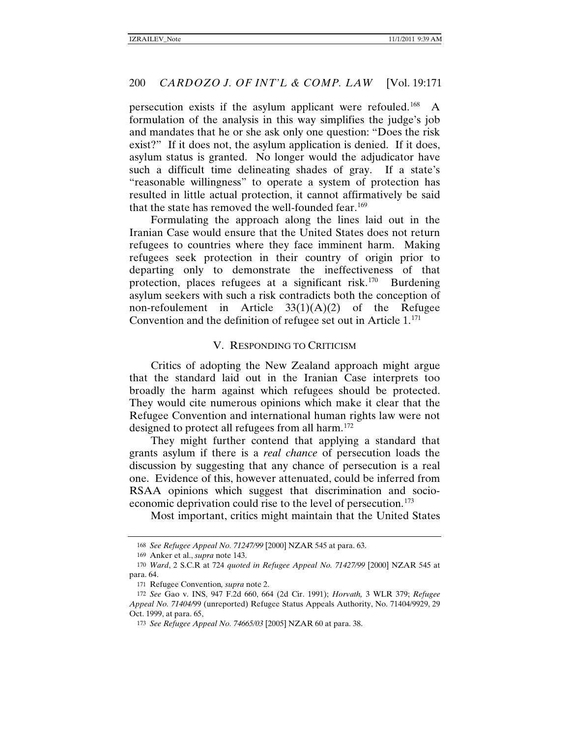persecution exists if the asylum applicant were refouled.[168](#page-29-0) A formulation of the analysis in this way simplifies the judge's job and mandates that he or she ask only one question: "Does the risk exist?" If it does not, the asylum application is denied. If it does, asylum status is granted. No longer would the adjudicator have such a difficult time delineating shades of gray. If a state's "reasonable willingness" to operate a system of protection has resulted in little actual protection, it cannot affirmatively be said that the state has removed the well-founded fear.<sup>[169](#page-29-1)</sup>

Formulating the approach along the lines laid out in the Iranian Case would ensure that the United States does not return refugees to countries where they face imminent harm. Making refugees seek protection in their country of origin prior to departing only to demonstrate the ineffectiveness of that protection, places refugees at a significant risk.[170](#page-29-2) Burdening asylum seekers with such a risk contradicts both the conception of non-refoulement in Article  $33(1)(A)(2)$  of the Refugee Convention and the definition of refugee set out in Article  $1^{171}$  $1^{171}$  $1^{171}$ 

#### V. RESPONDING TO CRITICISM

Critics of adopting the New Zealand approach might argue that the standard laid out in the Iranian Case interprets too broadly the harm against which refugees should be protected. They would cite numerous opinions which make it clear that the Refugee Convention and international human rights law were not designed to protect all refugees from all harm.<sup>[172](#page-29-4)</sup>

They might further contend that applying a standard that grants asylum if there is a *real chance* of persecution loads the discussion by suggesting that any chance of persecution is a real one. Evidence of this, however attenuated, could be inferred from RSAA opinions which suggest that discrimination and socio-economic deprivation could rise to the level of persecution.<sup>[173](#page-29-5)</sup>

Most important, critics might maintain that the United States

<sup>168</sup> *See Refugee Appeal No. 71247/99* [2000] NZAR 545 at para. 63.

<sup>169</sup> Anker et al., *supra* not[e 143.](#page-25-2)

<span id="page-29-3"></span><span id="page-29-2"></span><span id="page-29-1"></span><span id="page-29-0"></span><sup>170</sup> *Ward*, 2 S.C.R at 724 *quoted in Refugee Appeal No. 71427/99* [2000] NZAR 545 at para. 64.

<sup>171</sup> Refugee Convention*, supra* note [2.](#page-1-6)

<span id="page-29-5"></span><span id="page-29-4"></span><sup>172</sup> *See* Gao v. INS, 947 F.2d 660, 664 (2d Cir. 1991); *Horvath,* 3 WLR 379; *Refugee Appeal No. 71404/*99 (unreported) Refugee Status Appeals Authority, No. 71404/9929, 29 Oct. 1999, at para. 65,

<sup>173</sup> *See Refugee Appeal No. 74665/03* [2005] NZAR 60 at para. 38.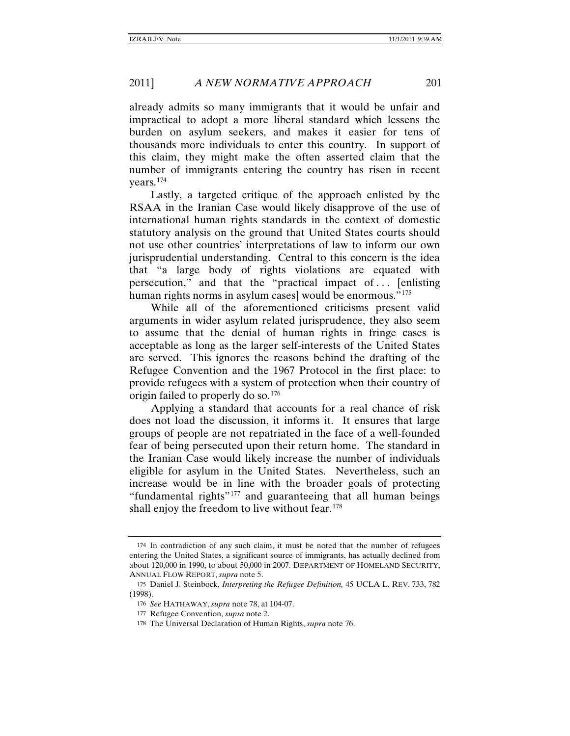already admits so many immigrants that it would be unfair and impractical to adopt a more liberal standard which lessens the burden on asylum seekers, and makes it easier for tens of thousands more individuals to enter this country. In support of this claim, they might make the often asserted claim that the number of immigrants entering the country has risen in recent years.[174](#page-30-0)

Lastly, a targeted critique of the approach enlisted by the RSAA in the Iranian Case would likely disapprove of the use of international human rights standards in the context of domestic statutory analysis on the ground that United States courts should not use other countries' interpretations of law to inform our own jurisprudential understanding. Central to this concern is the idea that "a large body of rights violations are equated with persecution," and that the "practical impact of . . . [enlisting human rights norms in asylum cases] would be enormous."<sup>[175](#page-30-1)</sup>

<span id="page-30-5"></span>While all of the aforementioned criticisms present valid arguments in wider asylum related jurisprudence, they also seem to assume that the denial of human rights in fringe cases is acceptable as long as the larger self-interests of the United States are served. This ignores the reasons behind the drafting of the Refugee Convention and the 1967 Protocol in the first place: to provide refugees with a system of protection when their country of origin failed to properly do so.<sup>[176](#page-30-2)</sup>

Applying a standard that accounts for a real chance of risk does not load the discussion, it informs it. It ensures that large groups of people are not repatriated in the face of a well-founded fear of being persecuted upon their return home. The standard in the Iranian Case would likely increase the number of individuals eligible for asylum in the United States. Nevertheless, such an increase would be in line with the broader goals of protecting "fundamental rights"[177](#page-30-3) and guaranteeing that all human beings shall enjoy the freedom to live without fear.<sup>[178](#page-30-4)</sup>

<span id="page-30-0"></span><sup>174</sup> In contradiction of any such claim, it must be noted that the number of refugees entering the United States, a significant source of immigrants, has actually declined from about 120,000 in 1990, to about 50,000 in 2007. DEPARTMENT OF HOMELAND SECURITY, ANNUAL FLOW REPORT, *supra* not[e 5.](#page-1-7)

<span id="page-30-4"></span><span id="page-30-3"></span><span id="page-30-2"></span><span id="page-30-1"></span><sup>175</sup> Daniel J. Steinbock, *Interpreting the Refugee Definition,* 45 UCLA L. REV. 733, 782 (1998).

<sup>176</sup> *See* HATHAWAY, *supra* note 78, at 104-07.

<sup>177</sup> Refugee Convention, *supra* note [2.](#page-1-6)

<sup>178</sup> The Universal Declaration of Human Rights, *supra* note [76.](#page-13-7)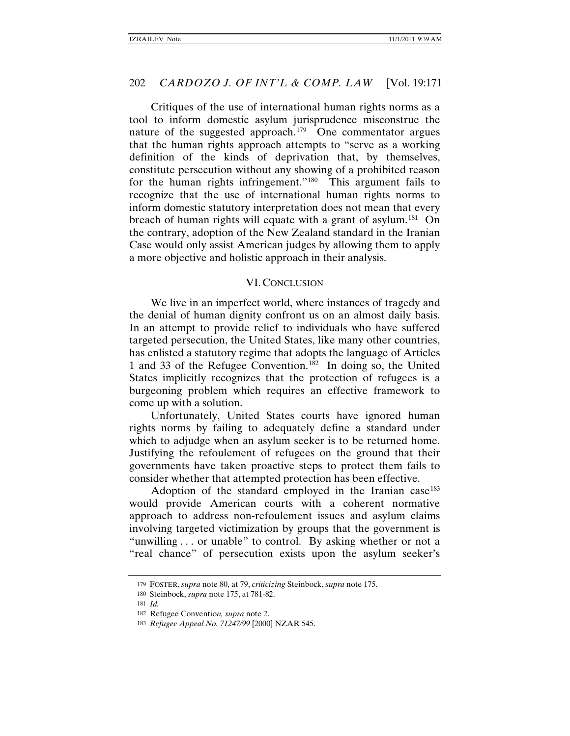Critiques of the use of international human rights norms as a tool to inform domestic asylum jurisprudence misconstrue the nature of the suggested approach.<sup>[179](#page-31-0)</sup> One commentator argues that the human rights approach attempts to "serve as a working definition of the kinds of deprivation that, by themselves, constitute persecution without any showing of a prohibited reason for the human rights infringement."<sup>[180](#page-31-1)</sup> This argument fails to recognize that the use of international human rights norms to inform domestic statutory interpretation does not mean that every breach of human rights will equate with a grant of asylum.<sup>[181](#page-31-2)</sup> On the contrary, adoption of the New Zealand standard in the Iranian Case would only assist American judges by allowing them to apply a more objective and holistic approach in their analysis.

#### VI. CONCLUSION

We live in an imperfect world, where instances of tragedy and the denial of human dignity confront us on an almost daily basis. In an attempt to provide relief to individuals who have suffered targeted persecution, the United States, like many other countries, has enlisted a statutory regime that adopts the language of Articles 1 and 33 of the Refugee Convention.<sup>[182](#page-31-3)</sup> In doing so, the United States implicitly recognizes that the protection of refugees is a burgeoning problem which requires an effective framework to come up with a solution.

Unfortunately, United States courts have ignored human rights norms by failing to adequately define a standard under which to adjudge when an asylum seeker is to be returned home. Justifying the refoulement of refugees on the ground that their governments have taken proactive steps to protect them fails to consider whether that attempted protection has been effective.

Adoption of the standard employed in the Iranian case<sup>[183](#page-31-4)</sup> would provide American courts with a coherent normative approach to address non-refoulement issues and asylum claims involving targeted victimization by groups that the government is "unwilling . . . or unable" to control. By asking whether or not a "real chance" of persecution exists upon the asylum seeker's

<span id="page-31-1"></span><span id="page-31-0"></span><sup>179</sup> FOSTER, *supra* note [80,](#page-14-6) at 79, *criticizing* Steinbock, *supra* note [175.](#page-30-5)

<sup>180</sup> Steinbock, *supra* not[e 175,](#page-30-5) at 781-82.

<span id="page-31-2"></span><sup>181</sup> *Id.*

<span id="page-31-4"></span><span id="page-31-3"></span><sup>182</sup> Refugee Conventio*n, supra* note [2.](#page-1-6)

<sup>183</sup> *Refugee Appeal No. 71247/99* [2000] NZAR 545.